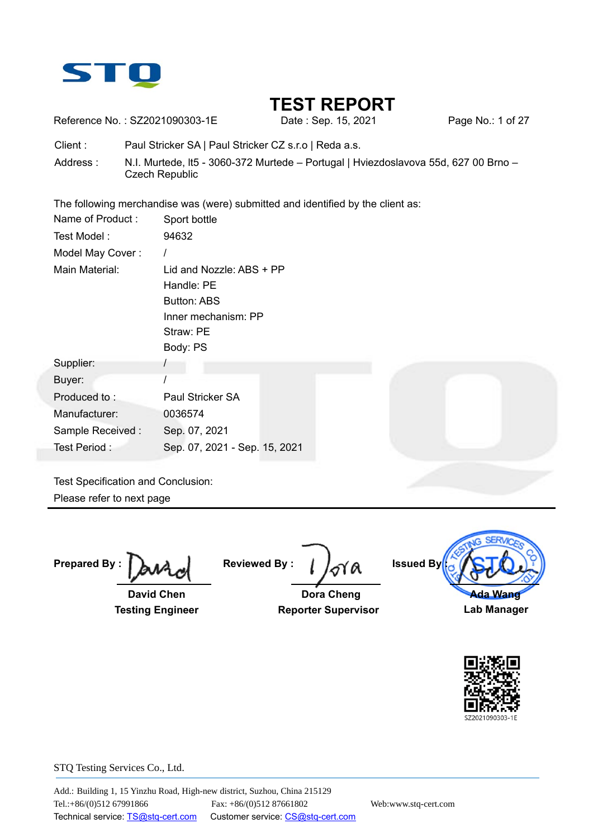

Reference No.: SZ2021090303-1E Date: Sep. 15, 2021 Page No.: 1 of 27

Client : Paul Stricker SA | Paul Stricker CZ s.r.o | Reda a.s.

Address : N.I. Murtede, It5 - 3060-372 Murtede – Portugal | Hviezdoslavova 55d, 627 00 Brno – Czech Republic

The following merchandise was (were) submitted and identified by the client as:

| Name of Product: | Sport bottle                                                                                          |
|------------------|-------------------------------------------------------------------------------------------------------|
| Test Model:      | 94632                                                                                                 |
| Model May Cover: |                                                                                                       |
| Main Material:   | Lid and Nozzle: ABS + PP<br>Handle: PE<br>Button: ABS<br>Inner mechanism: PP<br>Straw: PE<br>Body: PS |
| Supplier:        |                                                                                                       |
| Buyer:           |                                                                                                       |
| Produced to:     | Paul Stricker SA                                                                                      |
| Manufacturer:    | 0036574                                                                                               |
| Sample Received: | Sep. 07, 2021                                                                                         |
| Test Period:     | Sep. 07, 2021 - Sep. 15, 2021                                                                         |

Test Specification and Conclusion: Please refer to next page

**Prepared By** 

 **David Chen Testing Engineer** 

**Reviewed By :** 

 **Dora Cheng Reporter Supervisor**



**Lab Manager** 

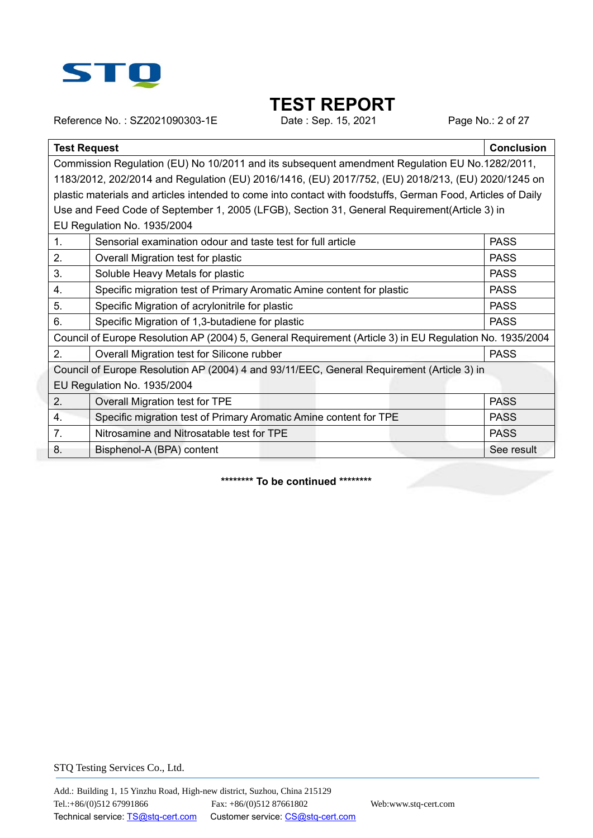

Reference No.: SZ2021090303-1E Date : Sep. 15, 2021 Page No.: 2 of 27

| <b>Test Request</b> |                                                                                                              | <b>Conclusion</b> |  |  |  |  |  |  |  |
|---------------------|--------------------------------------------------------------------------------------------------------------|-------------------|--|--|--|--|--|--|--|
|                     | Commission Regulation (EU) No 10/2011 and its subsequent amendment Regulation EU No.1282/2011,               |                   |  |  |  |  |  |  |  |
|                     | 1183/2012, 202/2014 and Regulation (EU) 2016/1416, (EU) 2017/752, (EU) 2018/213, (EU) 2020/1245 on           |                   |  |  |  |  |  |  |  |
|                     | plastic materials and articles intended to come into contact with foodstuffs, German Food, Articles of Daily |                   |  |  |  |  |  |  |  |
|                     | Use and Feed Code of September 1, 2005 (LFGB), Section 31, General Requirement(Article 3) in                 |                   |  |  |  |  |  |  |  |
|                     | EU Regulation No. 1935/2004                                                                                  |                   |  |  |  |  |  |  |  |
| 1.                  | Sensorial examination odour and taste test for full article                                                  | <b>PASS</b>       |  |  |  |  |  |  |  |
| 2.                  | Overall Migration test for plastic                                                                           | <b>PASS</b>       |  |  |  |  |  |  |  |
| 3.                  | Soluble Heavy Metals for plastic                                                                             | <b>PASS</b>       |  |  |  |  |  |  |  |
| 4.                  | Specific migration test of Primary Aromatic Amine content for plastic                                        | <b>PASS</b>       |  |  |  |  |  |  |  |
| 5.                  | Specific Migration of acrylonitrile for plastic                                                              | <b>PASS</b>       |  |  |  |  |  |  |  |
| 6.                  | Specific Migration of 1,3-butadiene for plastic                                                              | <b>PASS</b>       |  |  |  |  |  |  |  |
|                     | Council of Europe Resolution AP (2004) 5, General Requirement (Article 3) in EU Regulation No. 1935/2004     |                   |  |  |  |  |  |  |  |
| 2.                  | Overall Migration test for Silicone rubber                                                                   | <b>PASS</b>       |  |  |  |  |  |  |  |
|                     | Council of Europe Resolution AP (2004) 4 and 93/11/EEC, General Requirement (Article 3) in                   |                   |  |  |  |  |  |  |  |
|                     | EU Regulation No. 1935/2004                                                                                  |                   |  |  |  |  |  |  |  |
| 2.                  | Overall Migration test for TPE                                                                               | <b>PASS</b>       |  |  |  |  |  |  |  |
| 4.                  | Specific migration test of Primary Aromatic Amine content for TPE                                            | <b>PASS</b>       |  |  |  |  |  |  |  |
| 7.                  | Nitrosamine and Nitrosatable test for TPE                                                                    | <b>PASS</b>       |  |  |  |  |  |  |  |
| 8.                  | Bisphenol-A (BPA) content                                                                                    | See result        |  |  |  |  |  |  |  |

**\*\*\*\*\*\*\*\* To be continued \*\*\*\*\*\*\*\***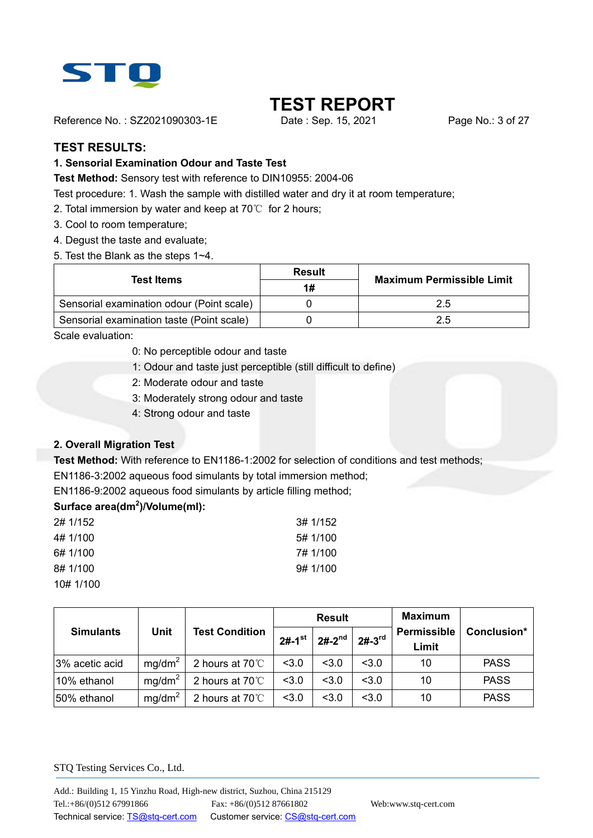

Reference No.: SZ2021090303-1E Date: Sep. 15, 2021 Page No.: 3 of 27

#### **TEST RESULTS:**

#### **1. Sensorial Examination Odour and Taste Test**

**Test Method:** Sensory test with reference to DIN10955: 2004-06

Test procedure: 1. Wash the sample with distilled water and dry it at room temperature;

- 2. Total immersion by water and keep at 70℃ for 2 hours;
- 3. Cool to room temperature;
- 4. Degust the taste and evaluate;
- 5. Test the Blank as the steps 1~4.

|                                           | <b>Result</b> |                                  |  |
|-------------------------------------------|---------------|----------------------------------|--|
| <b>Test Items</b>                         | 1#            | <b>Maximum Permissible Limit</b> |  |
| Sensorial examination odour (Point scale) |               | 2.5                              |  |
| Sensorial examination taste (Point scale) |               | 2.5                              |  |

Scale evaluation:

- 0: No perceptible odour and taste
- 1: Odour and taste just perceptible (still difficult to define)
- 2: Moderate odour and taste
- 3: Moderately strong odour and taste
- 4: Strong odour and taste

#### **2. Overall Migration Test**

**Test Method:** With reference to EN1186-1:2002 for selection of conditions and test methods;

EN1186-3:2002 aqueous food simulants by total immersion method;

EN1186-9:2002 aqueous food simulants by article filling method;

#### **Surface area(dm<sup>2</sup> )/Volume(ml):**

| 2# 1/152  | 3# 1/152 |
|-----------|----------|
| 4# 1/100  | 5# 1/100 |
| 6# 1/100  | 7# 1/100 |
| 8# 1/100  | 9#1/100  |
| 10# 1/100 |          |

|                  |                    |                       |                      | <b>Result</b> |                       | <b>Maximum</b>       |             |
|------------------|--------------------|-----------------------|----------------------|---------------|-----------------------|----------------------|-------------|
| <b>Simulants</b> | <b>Unit</b>        | <b>Test Condition</b> | $2#-1$ <sup>st</sup> | $2# - 2^{nd}$ | $2# -3$ <sup>rd</sup> | Permissible<br>Limit | Conclusion* |
| 3% acetic acid   | mq/dm <sup>2</sup> | 2 hours at 70°C       | < 3.0                | < 3.0         | < 3.0                 | 10                   | <b>PASS</b> |
| 10% ethanol      | mg/dm <sup>2</sup> | 2 hours at 70°C       | < 3.0                | < 3.0         | < 3.0                 | 10                   | <b>PASS</b> |
| 50% ethanol      | mq/dm <sup>2</sup> | 2 hours at 70°C       | < 3.0                | < 3.0         | < 3.0                 | 10                   | <b>PASS</b> |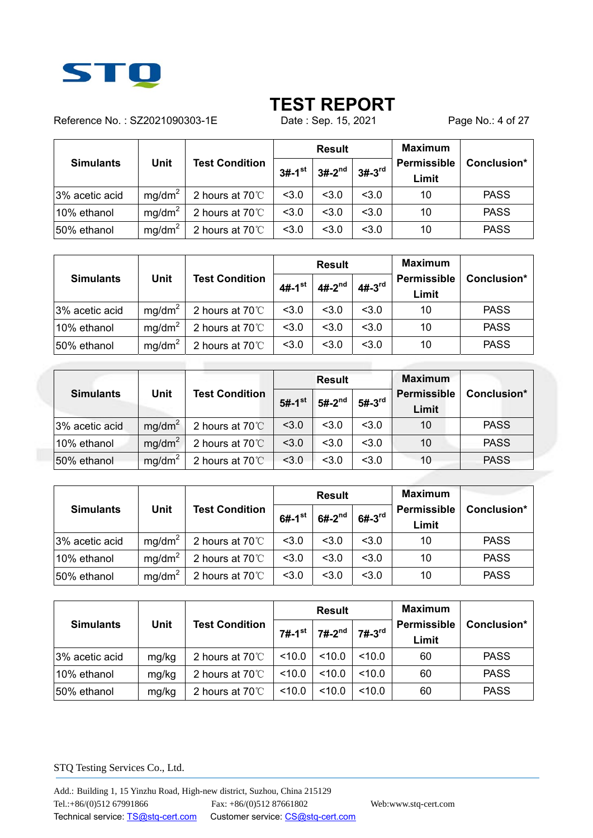

Reference No.: SZ2021090303-1E Date : Sep. 15, 2021 Page No.: 4 of 27

|                  |                                      |                 |                      | <b>Result</b> |            | <b>Maximum</b>       |             |
|------------------|--------------------------------------|-----------------|----------------------|---------------|------------|----------------------|-------------|
| <b>Simulants</b> | <b>Unit</b><br><b>Test Condition</b> |                 | $3#-1$ <sup>st</sup> | $3#-2^{nd}$   | $3# - 3rd$ | Permissible<br>Limit | Conclusion* |
| 3% acetic acid   | mq/dm <sup>2</sup>                   | 2 hours at 70°C | < 3.0                | < 3.0         | < 3.0      | 10                   | <b>PASS</b> |
| 10% ethanol      | mq/dm <sup>2</sup>                   | 2 hours at 70°C | < 3.0                | < 3.0         | < 3.0      | 10                   | <b>PASS</b> |
| 50% ethanol      | mg/dm <sup>2</sup>                   | 2 hours at 70°C | < 3.0                | < 3.0         | < 3.0      | 10                   | <b>PASS</b> |

|                  |                    |                         |                      | <b>Result</b> |          | <b>Maximum</b>       |             |
|------------------|--------------------|-------------------------|----------------------|---------------|----------|----------------------|-------------|
| <b>Simulants</b> | <b>Unit</b>        | <b>Test Condition</b>   | $4#-1$ <sup>st</sup> | $4#-2^{nd}$   | $4#-3rd$ | Permissible<br>Limit | Conclusion* |
| 3% acetic acid   | mq/dm <sup>2</sup> | 2 hours at 70°C         | < 3.0                | < 3.0         | < 3.0    | 10                   | <b>PASS</b> |
| 10% ethanol      | mq/dm <sup>2</sup> | 2 hours at 70°C         | < 3.0                | < 3.0         | < 3.0    | 10                   | <b>PASS</b> |
| 50% ethanol      | mg/dm <sup>2</sup> | 2 hours at $70^{\circ}$ | < 3.0                | < 3.0         | < 3.0    | 10                   | <b>PASS</b> |

|                  |                    |                         |                      | <b>Result</b> |          | <b>Maximum</b>              |             |
|------------------|--------------------|-------------------------|----------------------|---------------|----------|-----------------------------|-------------|
| <b>Simulants</b> | <b>Unit</b>        | <b>Test Condition</b>   | $5#-1$ <sup>st</sup> | $5#-2^{nd}$   | $5#-3rd$ | <b>Permissible</b><br>Limit | Conclusion* |
| 3% acetic acid   | mg/dm <sup>2</sup> | 2 hours at 70°C         | < 3.0                | < 3.0         | < 3.0    | 10                          | <b>PASS</b> |
| 10% ethanol      | mg/dm <sup>2</sup> | 2 hours at $70^{\circ}$ | < 3.0                | < 3.0         | < 3.0    | 10                          | <b>PASS</b> |
| 50% ethanol      | mg/dm <sup>2</sup> | 2 hours at $70^{\circ}$ | < 3.0                | < 3.0         | < 3.0    | 10                          | <b>PASS</b> |

| <b>Simulants</b> |                    |                         |                      | <b>Result</b> |                       | <b>Maximum</b>              |             |
|------------------|--------------------|-------------------------|----------------------|---------------|-----------------------|-----------------------------|-------------|
|                  | <b>Unit</b>        | <b>Test Condition</b>   | $6#-1$ <sup>st</sup> | $6#-2^{nd}$   | $6# -3$ <sup>rd</sup> | <b>Permissible</b><br>Limit | Conclusion* |
| 3% acetic acid   | mq/dm <sup>2</sup> | 2 hours at 70°C         | < 3.0                | < 3.0         | < 3.0                 | 10                          | <b>PASS</b> |
| 10% ethanol      | mg/dm <sup>2</sup> | 2 hours at $70^{\circ}$ | < 3.0                | < 3.0         | < 3.0                 | 10                          | <b>PASS</b> |
| 50% ethanol      | mq/dm <sup>2</sup> | 2 hours at 70°C         | < 3.0                | < 3.0         | < 3.0                 | 10                          | <b>PASS</b> |

| <b>Simulants</b> |                                      |                         |             | <b>Result</b> |                             | <b>Maximum</b> |             |
|------------------|--------------------------------------|-------------------------|-------------|---------------|-----------------------------|----------------|-------------|
|                  | <b>Unit</b><br><b>Test Condition</b> | $7#-1$ <sup>st</sup>    | $7#-2^{nd}$ | $7#-3rd$      | <b>Permissible</b><br>Limit | Conclusion*    |             |
| 3% acetic acid   | mg/kg                                | 2 hours at $70^{\circ}$ | 10.0        | <10.0         | 10.0                        | 60             | <b>PASS</b> |
| 10% ethanol      | mg/kg                                | 2 hours at $70^{\circ}$ | 10.0        | < 10.0        | 10.0                        | 60             | <b>PASS</b> |
| 50% ethanol      | mg/kg                                | 2 hours at $70^{\circ}$ | < 10.0      | < 10.0        | 10.0                        | 60             | <b>PASS</b> |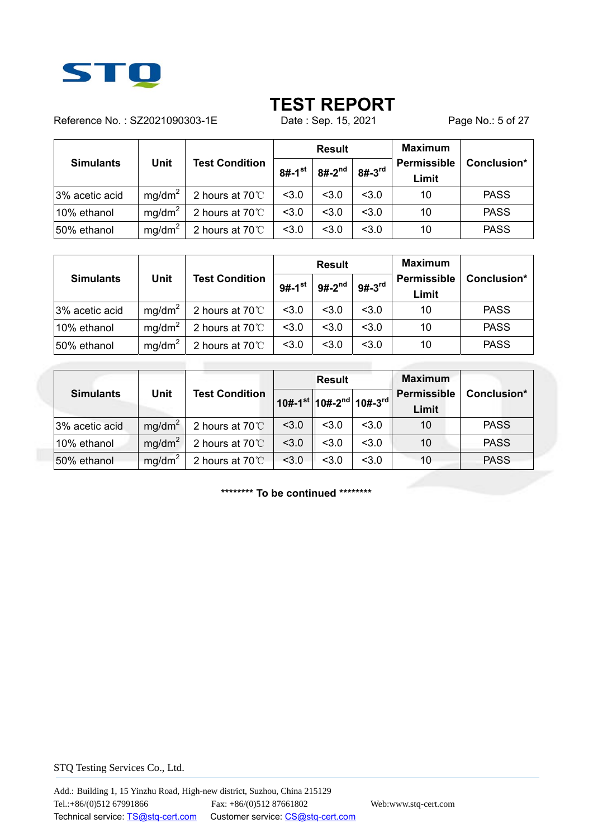

Reference No.: SZ2021090303-1E Date : Sep. 15, 2021 Page No.: 5 of 27

|                  |                                      |                 |                      | <b>Result</b> |            | <b>Maximum</b>       |             |
|------------------|--------------------------------------|-----------------|----------------------|---------------|------------|----------------------|-------------|
| <b>Simulants</b> | <b>Unit</b><br><b>Test Condition</b> |                 | $8#-1$ <sup>st</sup> | $8#-2^{nd}$   | $8# - 3rd$ | Permissible<br>Limit | Conclusion* |
| 3% acetic acid   | mq/dm <sup>2</sup>                   | 2 hours at 70°C | < 3.0                | 3.0           | < 3.0      | 10                   | <b>PASS</b> |
| 10% ethanol      | mq/dm <sup>2</sup>                   | 2 hours at 70°C | < 3.0                | < 3.0         | < 3.0      | 10                   | <b>PASS</b> |
| 50% ethanol      | mq/dm <sup>2</sup>                   | 2 hours at 70°C | < 3.0                | < 3.0         | < 3.0      | 10                   | <b>PASS</b> |

| <b>Simulants</b> |                                      |                         |             | <b>Result</b>        |                      | <b>Maximum</b> |             |
|------------------|--------------------------------------|-------------------------|-------------|----------------------|----------------------|----------------|-------------|
|                  | <b>Unit</b><br><b>Test Condition</b> | $9#-1$ <sup>st</sup>    | $9#-2^{nd}$ | $9#-3$ <sup>rd</sup> | Permissible<br>Limit | Conclusion*    |             |
| 3% acetic acid   | mq/dm <sup>2</sup>                   | 2 hours at 70°C         | < 3.0       | < 3.0                | < 3.0                | 10             | <b>PASS</b> |
| 10% ethanol      | mq/dm <sup>2</sup>                   | 2 hours at 70°C         | < 3.0       | < 3.0                | < 3.0                | 10             | <b>PASS</b> |
| 50% ethanol      | mq/dm <sup>2</sup>                   | 2 hours at $70^{\circ}$ | < 3.0       | < 3.0                | < 3.0                | 10             | <b>PASS</b> |

|                  |                    |                         |       | <b>Result</b>                                                   |       | <b>Maximum</b>              |             |
|------------------|--------------------|-------------------------|-------|-----------------------------------------------------------------|-------|-----------------------------|-------------|
| <b>Simulants</b> | Unit               | <b>Test Condition</b>   |       | $10# - 1$ <sup>st</sup> 10#-2 <sup>nd</sup> 10#-3 <sup>rd</sup> |       | <b>Permissible</b><br>Limit | Conclusion* |
| 3% acetic acid   | mg/dm <sup>2</sup> | 2 hours at $70^{\circ}$ | < 3.0 | < 3.0                                                           | < 3.0 | 10                          | <b>PASS</b> |
| 10% ethanol      | mg/dm <sup>2</sup> | 2 hours at 70°C         | < 3.0 | < 3.0                                                           | < 3.0 | 10                          | <b>PASS</b> |
| 50% ethanol      | mg/dm <sup>2</sup> | 2 hours at 70°C         | < 3.0 | < 3.0                                                           | < 3.0 | 10                          | <b>PASS</b> |

**\*\*\*\*\*\*\*\* To be continued \*\*\*\*\*\*\*\***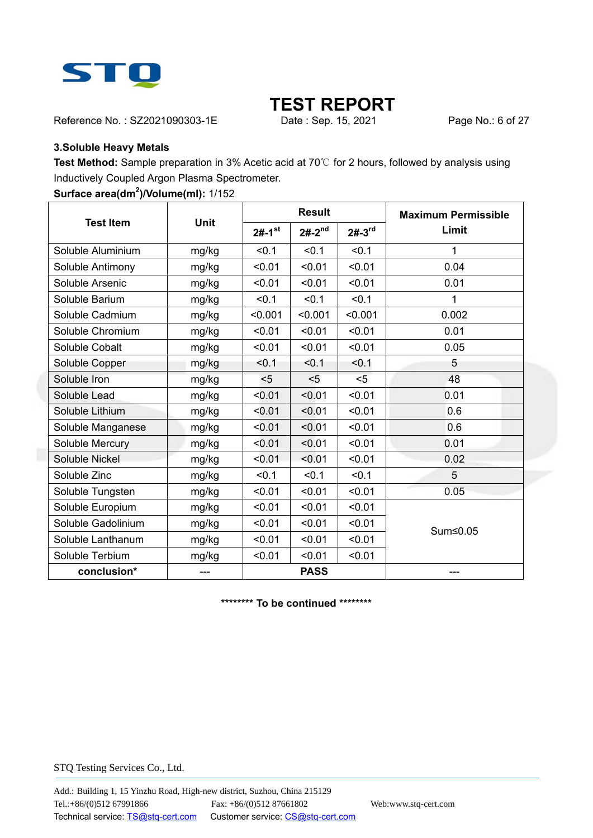

Reference No.: SZ2021090303-1E Date : Sep. 15, 2021 Page No.: 6 of 27

#### **3.Soluble Heavy Metals**

**Test Method:** Sample preparation in 3% Acetic acid at 70℃ for 2 hours, followed by analysis using Inductively Coupled Argon Plasma Spectrometer.

#### **Surface area(dm<sup>2</sup> )/Volume(ml):** 1/152

|                    |             |                      | <b>Result</b> |          | <b>Maximum Permissible</b> |
|--------------------|-------------|----------------------|---------------|----------|----------------------------|
| <b>Test Item</b>   | <b>Unit</b> | $2#-1$ <sup>st</sup> | $2# - 2^{nd}$ | $2#-3rd$ | Limit                      |
| Soluble Aluminium  | mg/kg       | < 0.1                | < 0.1         | < 0.1    | 1                          |
| Soluble Antimony   | mg/kg       | < 0.01               | < 0.01        | < 0.01   | 0.04                       |
| Soluble Arsenic    | mg/kg       | < 0.01               | < 0.01        | < 0.01   | 0.01                       |
| Soluble Barium     | mg/kg       | < 0.1                | $0.1$         | < 0.1    | 1                          |
| Soluble Cadmium    | mg/kg       | < 0.001              | < 0.001       | < 0.001  | 0.002                      |
| Soluble Chromium   | mg/kg       | < 0.01               | < 0.01        | < 0.01   | 0.01                       |
| Soluble Cobalt     | mg/kg       | < 0.01               | < 0.01        | < 0.01   | 0.05                       |
| Soluble Copper     | mg/kg       | < 0.1                | < 0.1         | < 0.1    | 5                          |
| Soluble Iron       | mg/kg       | $5$                  | $5$           | $5$      | 48                         |
| Soluble Lead       | mg/kg       | < 0.01               | < 0.01        | < 0.01   | 0.01                       |
| Soluble Lithium    | mg/kg       | < 0.01               | < 0.01        | < 0.01   | 0.6                        |
| Soluble Manganese  | mg/kg       | < 0.01               | < 0.01        | < 0.01   | 0.6                        |
| Soluble Mercury    | mg/kg       | < 0.01               | < 0.01        | < 0.01   | 0.01                       |
| Soluble Nickel     | mg/kg       | < 0.01               | < 0.01        | < 0.01   | 0.02                       |
| Soluble Zinc       | mg/kg       | < 0.1                | < 0.1         | < 0.1    | 5                          |
| Soluble Tungsten   | mg/kg       | < 0.01               | < 0.01        | < 0.01   | 0.05                       |
| Soluble Europium   | mg/kg       | < 0.01               | < 0.01        | < 0.01   |                            |
| Soluble Gadolinium | mg/kg       | < 0.01               | < 0.01        | < 0.01   | Sum≤0.05                   |
| Soluble Lanthanum  | mg/kg       | < 0.01               | < 0.01        | < 0.01   |                            |
| Soluble Terbium    | mg/kg       | < 0.01               | < 0.01        | < 0.01   |                            |
| conclusion*        |             |                      | <b>PASS</b>   |          |                            |

**\*\*\*\*\*\*\*\* To be continued \*\*\*\*\*\*\*\***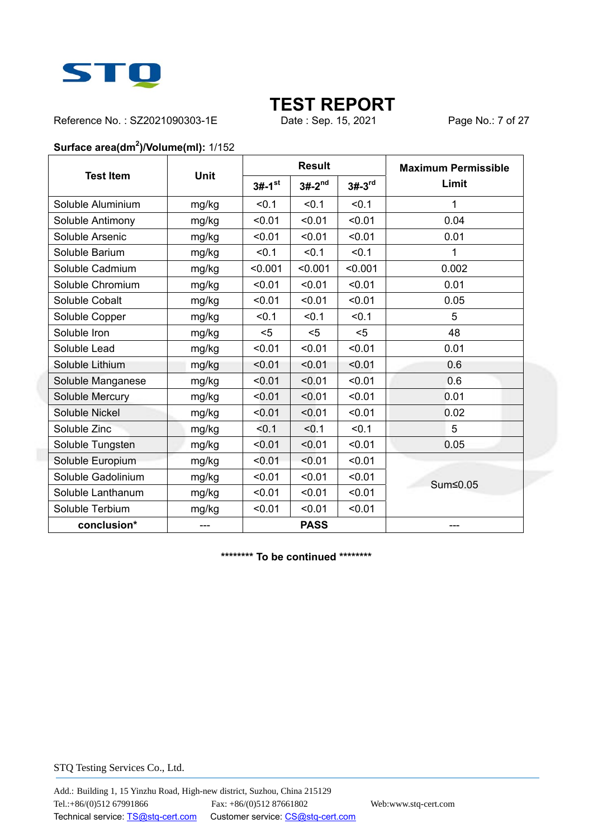

Reference No.: SZ2021090303-1E Date : Sep. 15, 2021 Page No.: 7 of 27

#### **Surface area(dm<sup>2</sup> )/Volume(ml):** 1/152

|                    |             |                      | <b>Result</b> |          | <b>Maximum Permissible</b> |
|--------------------|-------------|----------------------|---------------|----------|----------------------------|
| <b>Test Item</b>   | <b>Unit</b> | $3#-1$ <sup>st</sup> | $3#-2^{nd}$   | $3#-3rd$ | Limit                      |
| Soluble Aluminium  | mg/kg       | < 0.1                | < 0.1         | < 0.1    | 1                          |
| Soluble Antimony   | mg/kg       | < 0.01               | < 0.01        | < 0.01   | 0.04                       |
| Soluble Arsenic    | mg/kg       | < 0.01               | < 0.01        | < 0.01   | 0.01                       |
| Soluble Barium     | mg/kg       | < 0.1                | < 0.1         | < 0.1    | 1                          |
| Soluble Cadmium    | mg/kg       | < 0.001              | < 0.001       | < 0.001  | 0.002                      |
| Soluble Chromium   | mg/kg       | < 0.01               | < 0.01        | < 0.01   | 0.01                       |
| Soluble Cobalt     | mg/kg       | < 0.01               | < 0.01        | < 0.01   | 0.05                       |
| Soluble Copper     | mg/kg       | < 0.1                | < 0.1         | < 0.1    | 5                          |
| Soluble Iron       | mg/kg       | $5$                  | $5$           | $5$      | 48                         |
| Soluble Lead       | mg/kg       | < 0.01               | < 0.01        | < 0.01   | 0.01                       |
| Soluble Lithium    | mg/kg       | < 0.01               | < 0.01        | < 0.01   | 0.6                        |
| Soluble Manganese  | mg/kg       | < 0.01               | < 0.01        | < 0.01   | 0.6                        |
| Soluble Mercury    | mg/kg       | < 0.01               | < 0.01        | < 0.01   | 0.01                       |
| Soluble Nickel     | mg/kg       | < 0.01               | < 0.01        | < 0.01   | 0.02                       |
| Soluble Zinc       | mg/kg       | < 0.1                | < 0.1         | < 0.1    | 5                          |
| Soluble Tungsten   | mg/kg       | < 0.01               | < 0.01        | < 0.01   | 0.05                       |
| Soluble Europium   | mg/kg       | < 0.01               | < 0.01        | < 0.01   |                            |
| Soluble Gadolinium | mg/kg       | < 0.01               | < 0.01        | < 0.01   | Sum≤0.05                   |
| Soluble Lanthanum  | mg/kg       | < 0.01               | < 0.01        | < 0.01   |                            |
| Soluble Terbium    | mg/kg       | < 0.01               | < 0.01        | < 0.01   |                            |
| conclusion*        | $---$       |                      | <b>PASS</b>   |          | ---                        |

**\*\*\*\*\*\*\*\* To be continued \*\*\*\*\*\*\*\***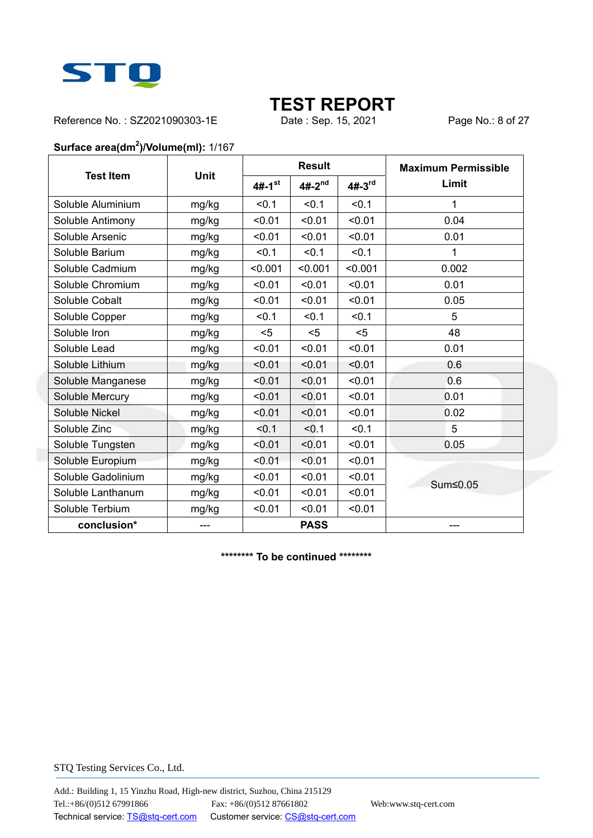

Reference No.: SZ2021090303-1E Date : Sep. 15, 2021 Page No.: 8 of 27

#### **Surface area(dm<sup>2</sup> )/Volume(ml):** 1/167

|                    |             |                      | <b>Result</b> |          | <b>Maximum Permissible</b> |
|--------------------|-------------|----------------------|---------------|----------|----------------------------|
| <b>Test Item</b>   | <b>Unit</b> | $4#-1$ <sup>st</sup> | $4#-2^{nd}$   | $4#-3rd$ | Limit                      |
| Soluble Aluminium  | mg/kg       | < 0.1                | < 0.1         | < 0.1    | 1                          |
| Soluble Antimony   | mg/kg       | < 0.01               | < 0.01        | < 0.01   | 0.04                       |
| Soluble Arsenic    | mg/kg       | < 0.01               | < 0.01        | < 0.01   | 0.01                       |
| Soluble Barium     | mg/kg       | < 0.1                | < 0.1         | < 0.1    | 1                          |
| Soluble Cadmium    | mg/kg       | < 0.001              | < 0.001       | < 0.001  | 0.002                      |
| Soluble Chromium   | mg/kg       | < 0.01               | < 0.01        | < 0.01   | 0.01                       |
| Soluble Cobalt     | mg/kg       | < 0.01               | < 0.01        | < 0.01   | 0.05                       |
| Soluble Copper     | mg/kg       | < 0.1                | < 0.1         | < 0.1    | 5                          |
| Soluble Iron       | mg/kg       | $5$                  | $5$           | $5$      | 48                         |
| Soluble Lead       | mg/kg       | < 0.01               | < 0.01        | < 0.01   | 0.01                       |
| Soluble Lithium    | mg/kg       | < 0.01               | < 0.01        | < 0.01   | 0.6                        |
| Soluble Manganese  | mg/kg       | < 0.01               | < 0.01        | < 0.01   | 0.6                        |
| Soluble Mercury    | mg/kg       | < 0.01               | < 0.01        | < 0.01   | 0.01                       |
| Soluble Nickel     | mg/kg       | < 0.01               | < 0.01        | < 0.01   | 0.02                       |
| Soluble Zinc       | mg/kg       | $0.1$                | < 0.1         | < 0.1    | 5                          |
| Soluble Tungsten   | mg/kg       | < 0.01               | < 0.01        | < 0.01   | 0.05                       |
| Soluble Europium   | mg/kg       | < 0.01               | < 0.01        | < 0.01   |                            |
| Soluble Gadolinium | mg/kg       | < 0.01               | < 0.01        | < 0.01   | Sum≤0.05                   |
| Soluble Lanthanum  | mg/kg       | < 0.01               | < 0.01        | < 0.01   |                            |
| Soluble Terbium    | mg/kg       | < 0.01               | < 0.01        | < 0.01   |                            |
| conclusion*        | $---$       |                      | <b>PASS</b>   |          | ---                        |

**\*\*\*\*\*\*\*\* To be continued \*\*\*\*\*\*\*\***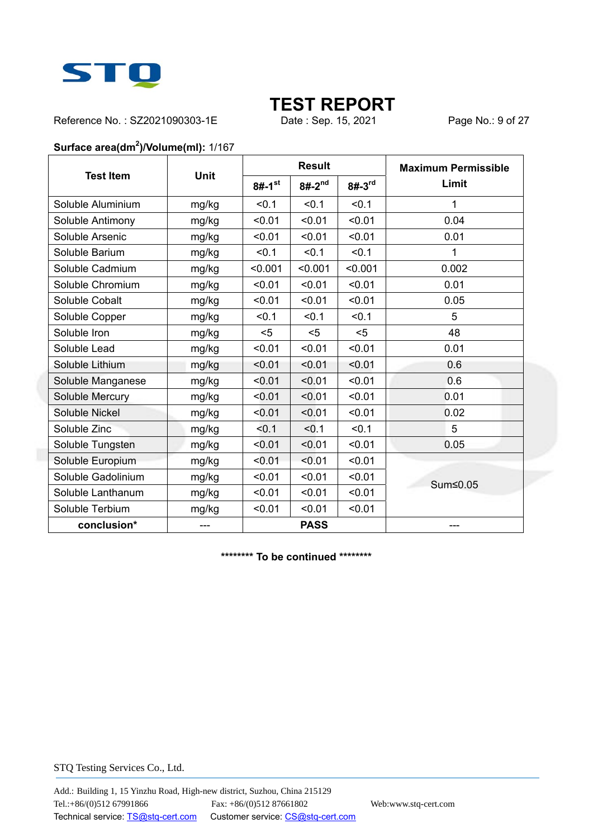

Reference No.: SZ2021090303-1E Date : Sep. 15, 2021 Page No.: 9 of 27

#### **Surface area(dm<sup>2</sup> )/Volume(ml):** 1/167

|                    |             |                      | <b>Result</b> |            | <b>Maximum Permissible</b> |
|--------------------|-------------|----------------------|---------------|------------|----------------------------|
| <b>Test Item</b>   | <b>Unit</b> | $8#-1$ <sup>st</sup> | $8#-2^{nd}$   | $8# - 3rd$ | Limit                      |
| Soluble Aluminium  | mg/kg       | < 0.1                | < 0.1         | < 0.1      | 1                          |
| Soluble Antimony   | mg/kg       | < 0.01               | < 0.01        | < 0.01     | 0.04                       |
| Soluble Arsenic    | mg/kg       | < 0.01               | < 0.01        | < 0.01     | 0.01                       |
| Soluble Barium     | mg/kg       | < 0.1                | < 0.1         | < 0.1      | 1                          |
| Soluble Cadmium    | mg/kg       | < 0.001              | < 0.001       | < 0.001    | 0.002                      |
| Soluble Chromium   | mg/kg       | < 0.01               | < 0.01        | < 0.01     | 0.01                       |
| Soluble Cobalt     | mg/kg       | < 0.01               | < 0.01        | < 0.01     | 0.05                       |
| Soluble Copper     | mg/kg       | < 0.1                | < 0.1         | < 0.1      | 5                          |
| Soluble Iron       | mg/kg       | $5$                  | $5$           | $5$        | 48                         |
| Soluble Lead       | mg/kg       | < 0.01               | < 0.01        | < 0.01     | 0.01                       |
| Soluble Lithium    | mg/kg       | < 0.01               | < 0.01        | < 0.01     | 0.6                        |
| Soluble Manganese  | mg/kg       | < 0.01               | < 0.01        | < 0.01     | 0.6                        |
| Soluble Mercury    | mg/kg       | < 0.01               | < 0.01        | < 0.01     | 0.01                       |
| Soluble Nickel     | mg/kg       | < 0.01               | < 0.01        | < 0.01     | 0.02                       |
| Soluble Zinc       | mg/kg       | < 0.1                | < 0.1         | < 0.1      | 5                          |
| Soluble Tungsten   | mg/kg       | < 0.01               | < 0.01        | < 0.01     | 0.05                       |
| Soluble Europium   | mg/kg       | < 0.01               | < 0.01        | < 0.01     |                            |
| Soluble Gadolinium | mg/kg       | < 0.01               | < 0.01        | < 0.01     | Sum≤0.05                   |
| Soluble Lanthanum  | mg/kg       | < 0.01               | < 0.01        | < 0.01     |                            |
| Soluble Terbium    | mg/kg       | < 0.01               | < 0.01        | < 0.01     |                            |
| conclusion*        | $---$       |                      | <b>PASS</b>   |            | ---                        |

**\*\*\*\*\*\*\*\* To be continued \*\*\*\*\*\*\*\***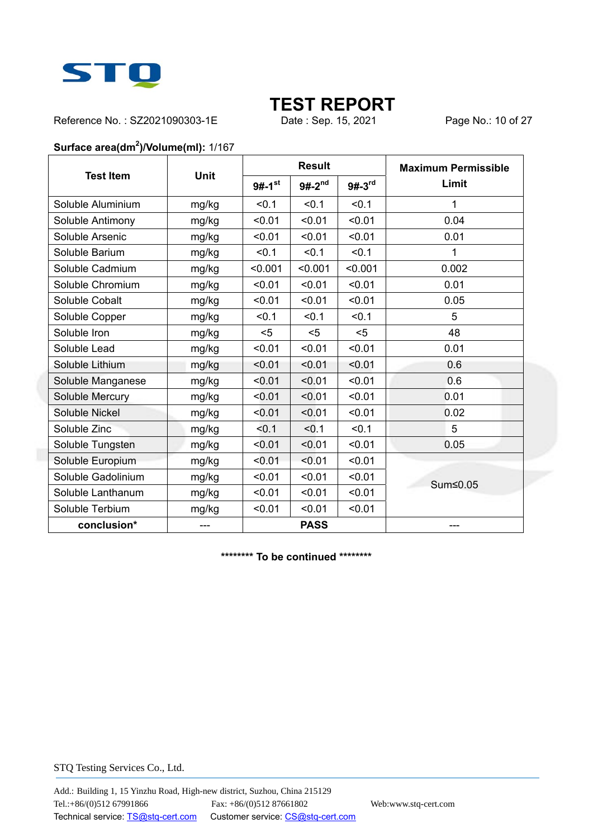

Reference No.: SZ2021090303-1E Date : Sep. 15, 2021 Page No.: 10 of 27

#### **Surface area(dm<sup>2</sup> )/Volume(ml):** 1/167

|                    |             |                      | <b>Result</b> |          | <b>Maximum Permissible</b> |
|--------------------|-------------|----------------------|---------------|----------|----------------------------|
| <b>Test Item</b>   | <b>Unit</b> | $9#-1$ <sup>st</sup> | $9#-2^{nd}$   | $9#-3rd$ | Limit                      |
| Soluble Aluminium  | mg/kg       | < 0.1                | < 0.1         | < 0.1    | 1                          |
| Soluble Antimony   | mg/kg       | < 0.01               | < 0.01        | < 0.01   | 0.04                       |
| Soluble Arsenic    | mg/kg       | < 0.01               | < 0.01        | < 0.01   | 0.01                       |
| Soluble Barium     | mg/kg       | < 0.1                | < 0.1         | < 0.1    | 1                          |
| Soluble Cadmium    | mg/kg       | < 0.001              | < 0.001       | < 0.001  | 0.002                      |
| Soluble Chromium   | mg/kg       | < 0.01               | < 0.01        | < 0.01   | 0.01                       |
| Soluble Cobalt     | mg/kg       | < 0.01               | < 0.01        | < 0.01   | 0.05                       |
| Soluble Copper     | mg/kg       | < 0.1                | < 0.1         | < 0.1    | 5                          |
| Soluble Iron       | mg/kg       | $5$                  | $5$           | $5$      | 48                         |
| Soluble Lead       | mg/kg       | < 0.01               | < 0.01        | < 0.01   | 0.01                       |
| Soluble Lithium    | mg/kg       | < 0.01               | < 0.01        | < 0.01   | 0.6                        |
| Soluble Manganese  | mg/kg       | < 0.01               | < 0.01        | < 0.01   | 0.6                        |
| Soluble Mercury    | mg/kg       | < 0.01               | < 0.01        | < 0.01   | 0.01                       |
| Soluble Nickel     | mg/kg       | < 0.01               | < 0.01        | < 0.01   | 0.02                       |
| Soluble Zinc       | mg/kg       | < 0.1                | < 0.1         | < 0.1    | 5                          |
| Soluble Tungsten   | mg/kg       | < 0.01               | < 0.01        | < 0.01   | 0.05                       |
| Soluble Europium   | mg/kg       | < 0.01               | < 0.01        | < 0.01   |                            |
| Soluble Gadolinium | mg/kg       | < 0.01               | < 0.01        | < 0.01   | Sum≤0.05                   |
| Soluble Lanthanum  | mg/kg       | < 0.01               | < 0.01        | < 0.01   |                            |
| Soluble Terbium    | mg/kg       | < 0.01               | < 0.01        | < 0.01   |                            |
| conclusion*        | $---$       |                      | <b>PASS</b>   |          | ---                        |

**\*\*\*\*\*\*\*\* To be continued \*\*\*\*\*\*\*\***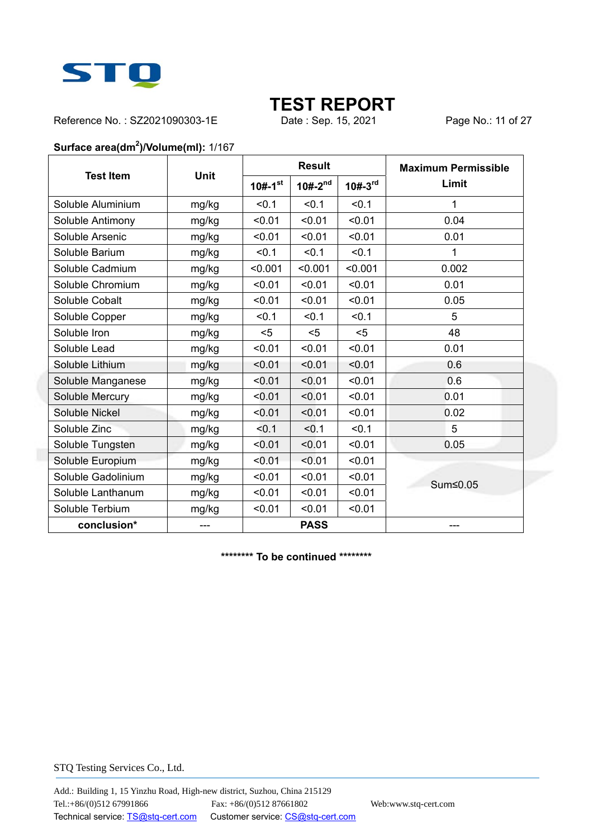

Reference No.: SZ2021090303-1E Date : Sep. 15, 2021 Page No.: 11 of 27

#### **Surface area(dm<sup>2</sup> )/Volume(ml):** 1/167

|                    |             |                       | <b>Result</b>  |           | <b>Maximum Permissible</b> |
|--------------------|-------------|-----------------------|----------------|-----------|----------------------------|
| <b>Test Item</b>   | <b>Unit</b> | $10#-1$ <sup>st</sup> | $10# - 2^{nd}$ | $10#-3rd$ | Limit                      |
| Soluble Aluminium  | mg/kg       | < 0.1                 | < 0.1          | < 0.1     | 1                          |
| Soluble Antimony   | mg/kg       | < 0.01                | < 0.01         | < 0.01    | 0.04                       |
| Soluble Arsenic    | mg/kg       | < 0.01                | < 0.01         | < 0.01    | 0.01                       |
| Soluble Barium     | mg/kg       | < 0.1                 | < 0.1          | < 0.1     | 1                          |
| Soluble Cadmium    | mg/kg       | < 0.001               | < 0.001        | < 0.001   | 0.002                      |
| Soluble Chromium   | mg/kg       | < 0.01                | < 0.01         | < 0.01    | 0.01                       |
| Soluble Cobalt     | mg/kg       | < 0.01                | < 0.01         | < 0.01    | 0.05                       |
| Soluble Copper     | mg/kg       | < 0.1                 | < 0.1          | < 0.1     | 5                          |
| Soluble Iron       | mg/kg       | $5$                   | $5$            | $5$       | 48                         |
| Soluble Lead       | mg/kg       | < 0.01                | < 0.01         | < 0.01    | 0.01                       |
| Soluble Lithium    | mg/kg       | < 0.01                | < 0.01         | < 0.01    | 0.6                        |
| Soluble Manganese  | mg/kg       | < 0.01                | < 0.01         | < 0.01    | 0.6                        |
| Soluble Mercury    | mg/kg       | < 0.01                | < 0.01         | < 0.01    | 0.01                       |
| Soluble Nickel     | mg/kg       | < 0.01                | < 0.01         | < 0.01    | 0.02                       |
| Soluble Zinc       | mg/kg       | < 0.1                 | < 0.1          | < 0.1     | 5                          |
| Soluble Tungsten   | mg/kg       | < 0.01                | < 0.01         | < 0.01    | 0.05                       |
| Soluble Europium   | mg/kg       | < 0.01                | < 0.01         | < 0.01    |                            |
| Soluble Gadolinium | mg/kg       | < 0.01                | < 0.01         | < 0.01    | Sum≤0.05                   |
| Soluble Lanthanum  | mg/kg       | < 0.01                | < 0.01         | < 0.01    |                            |
| Soluble Terbium    | mg/kg       | < 0.01                | < 0.01         | < 0.01    |                            |
| conclusion*        | $---$       |                       | <b>PASS</b>    |           | ---                        |

**\*\*\*\*\*\*\*\* To be continued \*\*\*\*\*\*\*\***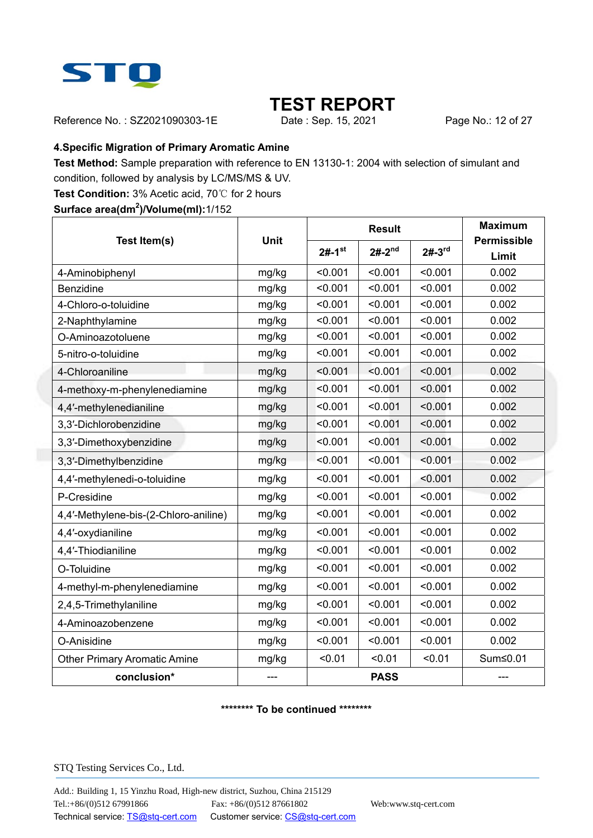

Reference No.: SZ2021090303-1E Date : Sep. 15, 2021 Page No.: 12 of 27

#### **4.Specific Migration of Primary Aromatic Amine**

**Test Method:** Sample preparation with reference to EN 13130-1: 2004 with selection of simulant and condition, followed by analysis by LC/MS/MS & UV.

**Test Condition:** 3% Acetic acid, 70℃ for 2 hours

**Surface area(dm<sup>2</sup> )/Volume(ml):**1/152

|                                       |             |                      | <b>Result</b> | <b>Maximum</b> |                             |
|---------------------------------------|-------------|----------------------|---------------|----------------|-----------------------------|
| Test Item(s)                          | <b>Unit</b> | $2#-1$ <sup>st</sup> | $2#-2^{nd}$   | $2#-3^{rd}$    | <b>Permissible</b><br>Limit |
| 4-Aminobiphenyl                       | mg/kg       | < 0.001              | < 0.001       | < 0.001        | 0.002                       |
| <b>Benzidine</b>                      | mg/kg       | < 0.001              | < 0.001       | < 0.001        | 0.002                       |
| 4-Chloro-o-toluidine                  | mg/kg       | < 0.001              | < 0.001       | < 0.001        | 0.002                       |
| 2-Naphthylamine                       | mg/kg       | < 0.001              | < 0.001       | < 0.001        | 0.002                       |
| O-Aminoazotoluene                     | mg/kg       | < 0.001              | < 0.001       | < 0.001        | 0.002                       |
| 5-nitro-o-toluidine                   | mg/kg       | < 0.001              | < 0.001       | < 0.001        | 0.002                       |
| 4-Chloroaniline                       | mg/kg       | < 0.001              | < 0.001       | < 0.001        | 0.002                       |
| 4-methoxy-m-phenylenediamine          | mg/kg       | < 0.001              | < 0.001       | < 0.001        | 0.002                       |
| 4,4'-methylenedianiline               | mg/kg       | < 0.001              | < 0.001       | < 0.001        | 0.002                       |
| 3,3'-Dichlorobenzidine                | mg/kg       | < 0.001              | < 0.001       | < 0.001        | 0.002                       |
| 3,3'-Dimethoxybenzidine               | mg/kg       | < 0.001              | < 0.001       | < 0.001        | 0.002                       |
| 3,3'-Dimethylbenzidine                | mg/kg       | < 0.001              | < 0.001       | < 0.001        | 0.002                       |
| 4,4'-methylenedi-o-toluidine          | mg/kg       | < 0.001              | < 0.001       | < 0.001        | 0.002                       |
| P-Cresidine                           | mg/kg       | < 0.001              | < 0.001       | < 0.001        | 0.002                       |
| 4,4'-Methylene-bis-(2-Chloro-aniline) | mg/kg       | < 0.001              | < 0.001       | < 0.001        | 0.002                       |
| 4,4'-oxydianiline                     | mg/kg       | < 0.001              | < 0.001       | < 0.001        | 0.002                       |
| 4,4'-Thiodianiline                    | mg/kg       | < 0.001              | < 0.001       | < 0.001        | 0.002                       |
| O-Toluidine                           | mg/kg       | < 0.001              | < 0.001       | < 0.001        | 0.002                       |
| 4-methyl-m-phenylenediamine           | mg/kg       | < 0.001              | < 0.001       | < 0.001        | 0.002                       |
| 2,4,5-Trimethylaniline                | mg/kg       | < 0.001              | < 0.001       | < 0.001        | 0.002                       |
| 4-Aminoazobenzene                     | mg/kg       | < 0.001              | < 0.001       | < 0.001        | 0.002                       |
| O-Anisidine                           | mg/kg       | < 0.001              | < 0.001       | < 0.001        | 0.002                       |
| <b>Other Primary Aromatic Amine</b>   | mg/kg       | < 0.01               | < 0.01        | < 0.01         | Sum≤0.01                    |
| conclusion*                           |             |                      | <b>PASS</b>   |                |                             |

#### **\*\*\*\*\*\*\*\* To be continued \*\*\*\*\*\*\*\***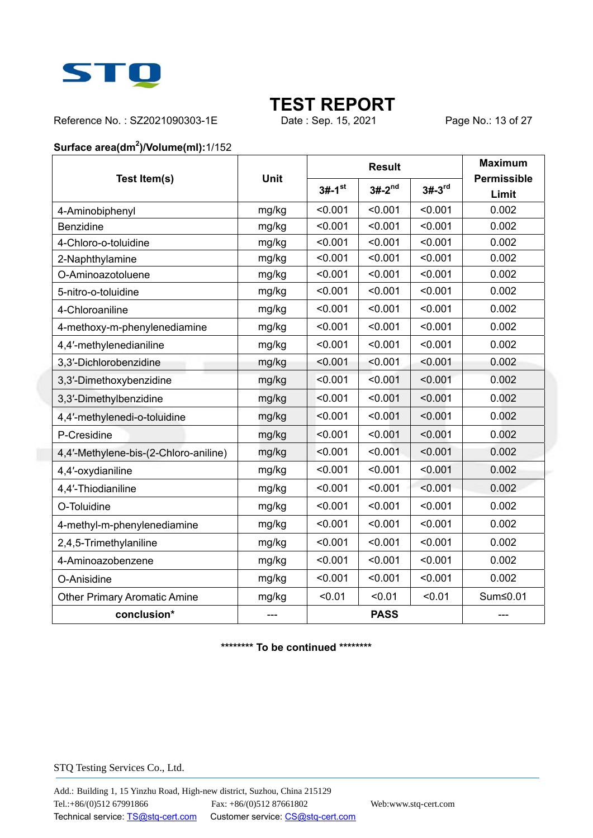

Reference No.: SZ2021090303-1E Date : Sep. 15, 2021 Page No.: 13 of 27

#### **Surface area(dm<sup>2</sup> )/Volume(ml):**1/152

|                                       | <b>Unit</b> |                      | <b>Result</b> |          | <b>Maximum</b>              |
|---------------------------------------|-------------|----------------------|---------------|----------|-----------------------------|
| Test Item(s)                          |             | $3#-1$ <sup>st</sup> | $3#-2^{nd}$   | $3#-3rd$ | <b>Permissible</b><br>Limit |
| 4-Aminobiphenyl                       | mg/kg       | < 0.001              | < 0.001       | < 0.001  | 0.002                       |
| Benzidine                             | mg/kg       | < 0.001              | < 0.001       | < 0.001  | 0.002                       |
| 4-Chloro-o-toluidine                  | mg/kg       | < 0.001              | < 0.001       | < 0.001  | 0.002                       |
| 2-Naphthylamine                       | mg/kg       | < 0.001              | < 0.001       | < 0.001  | 0.002                       |
| O-Aminoazotoluene                     | mg/kg       | < 0.001              | < 0.001       | < 0.001  | 0.002                       |
| 5-nitro-o-toluidine                   | mg/kg       | < 0.001              | < 0.001       | < 0.001  | 0.002                       |
| 4-Chloroaniline                       | mg/kg       | < 0.001              | < 0.001       | < 0.001  | 0.002                       |
| 4-methoxy-m-phenylenediamine          | mg/kg       | < 0.001              | < 0.001       | < 0.001  | 0.002                       |
| 4,4'-methylenedianiline               | mg/kg       | < 0.001              | < 0.001       | < 0.001  | 0.002                       |
| 3,3'-Dichlorobenzidine                | mg/kg       | < 0.001              | < 0.001       | < 0.001  | 0.002                       |
| 3,3'-Dimethoxybenzidine               | mg/kg       | < 0.001              | < 0.001       | < 0.001  | 0.002                       |
| 3,3'-Dimethylbenzidine                | mg/kg       | < 0.001              | < 0.001       | < 0.001  | 0.002                       |
| 4,4'-methylenedi-o-toluidine          | mg/kg       | < 0.001              | < 0.001       | < 0.001  | 0.002                       |
| P-Cresidine                           | mg/kg       | < 0.001              | < 0.001       | < 0.001  | 0.002                       |
| 4,4'-Methylene-bis-(2-Chloro-aniline) | mg/kg       | < 0.001              | < 0.001       | < 0.001  | 0.002                       |
| 4,4'-oxydianiline                     | mg/kg       | < 0.001              | < 0.001       | < 0.001  | 0.002                       |
| 4,4'-Thiodianiline                    | mg/kg       | < 0.001              | < 0.001       | < 0.001  | 0.002                       |
| O-Toluidine                           | mg/kg       | < 0.001              | < 0.001       | < 0.001  | 0.002                       |
| 4-methyl-m-phenylenediamine           | mg/kg       | < 0.001              | < 0.001       | < 0.001  | 0.002                       |
| 2,4,5-Trimethylaniline                | mg/kg       | < 0.001              | < 0.001       | < 0.001  | 0.002                       |
| 4-Aminoazobenzene                     | mg/kg       | < 0.001              | < 0.001       | < 0.001  | 0.002                       |
| O-Anisidine                           | mg/kg       | < 0.001              | < 0.001       | < 0.001  | 0.002                       |
| <b>Other Primary Aromatic Amine</b>   | mg/kg       | < 0.01               | < 0.01        | < 0.01   | Sum≤0.01                    |
| conclusion*                           | ---         |                      | <b>PASS</b>   |          | $---$                       |

**\*\*\*\*\*\*\*\* To be continued \*\*\*\*\*\*\*\***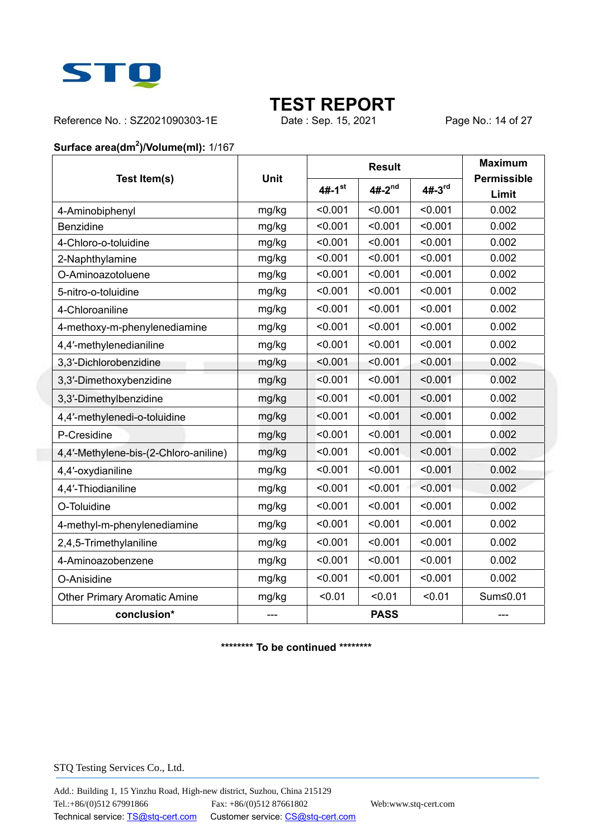

Reference No.: SZ2021090303-1E Date : Sep. 15, 2021 Page No.: 14 of 27

#### **Surface area(dm<sup>2</sup> )/Volume(ml):** 1/167

|                                       |       |                      | <b>Result</b> | <b>Maximum</b> |                             |
|---------------------------------------|-------|----------------------|---------------|----------------|-----------------------------|
| Test Item(s)                          | Unit  | $4#-1$ <sup>st</sup> | $4#-2^{nd}$   | $4#-3rd$       | <b>Permissible</b><br>Limit |
| 4-Aminobiphenyl                       | mg/kg | < 0.001              | < 0.001       | < 0.001        | 0.002                       |
| Benzidine                             | mg/kg | < 0.001              | < 0.001       | < 0.001        | 0.002                       |
| 4-Chloro-o-toluidine                  | mg/kg | < 0.001              | < 0.001       | < 0.001        | 0.002                       |
| 2-Naphthylamine                       | mg/kg | < 0.001              | < 0.001       | < 0.001        | 0.002                       |
| O-Aminoazotoluene                     | mg/kg | < 0.001              | < 0.001       | < 0.001        | 0.002                       |
| 5-nitro-o-toluidine                   | mg/kg | < 0.001              | < 0.001       | < 0.001        | 0.002                       |
| 4-Chloroaniline                       | mg/kg | < 0.001              | < 0.001       | < 0.001        | 0.002                       |
| 4-methoxy-m-phenylenediamine          | mg/kg | < 0.001              | < 0.001       | < 0.001        | 0.002                       |
| 4,4'-methylenedianiline               | mg/kg | < 0.001              | < 0.001       | < 0.001        | 0.002                       |
| 3,3'-Dichlorobenzidine                | mg/kg | < 0.001              | < 0.001       | < 0.001        | 0.002                       |
| 3,3'-Dimethoxybenzidine               | mg/kg | < 0.001              | < 0.001       | < 0.001        | 0.002                       |
| 3,3'-Dimethylbenzidine                | mg/kg | < 0.001              | < 0.001       | < 0.001        | 0.002                       |
| 4,4'-methylenedi-o-toluidine          | mg/kg | < 0.001              | < 0.001       | < 0.001        | 0.002                       |
| P-Cresidine                           | mg/kg | < 0.001              | < 0.001       | < 0.001        | 0.002                       |
| 4,4'-Methylene-bis-(2-Chloro-aniline) | mg/kg | < 0.001              | < 0.001       | < 0.001        | 0.002                       |
| 4,4'-oxydianiline                     | mg/kg | < 0.001              | < 0.001       | < 0.001        | 0.002                       |
| 4,4'-Thiodianiline                    | mg/kg | < 0.001              | < 0.001       | < 0.001        | 0.002                       |
| O-Toluidine                           | mg/kg | < 0.001              | < 0.001       | < 0.001        | 0.002                       |
| 4-methyl-m-phenylenediamine           | mg/kg | < 0.001              | < 0.001       | < 0.001        | 0.002                       |
| 2,4,5-Trimethylaniline                | mg/kg | < 0.001              | < 0.001       | < 0.001        | 0.002                       |
| 4-Aminoazobenzene                     | mg/kg | < 0.001              | < 0.001       | < 0.001        | 0.002                       |
| O-Anisidine                           | mg/kg | < 0.001              | < 0.001       | < 0.001        | 0.002                       |
| <b>Other Primary Aromatic Amine</b>   | mg/kg | < 0.01               | < 0.01        | < 0.01         | Sum≤0.01                    |
| conclusion*                           |       |                      | <b>PASS</b>   |                | ---                         |

**\*\*\*\*\*\*\*\* To be continued \*\*\*\*\*\*\*\***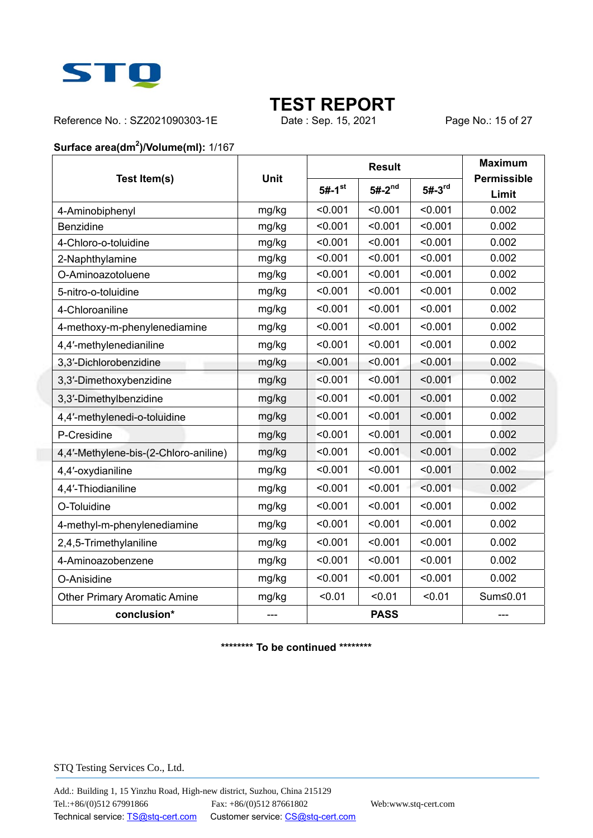

Reference No.: SZ2021090303-1E Date : Sep. 15, 2021 Page No.: 15 of 27

#### **Surface area(dm<sup>2</sup> )/Volume(ml):** 1/167

|                                       |       |                      | <b>Result</b> |          | <b>Maximum</b>              |
|---------------------------------------|-------|----------------------|---------------|----------|-----------------------------|
| Test Item(s)                          | Unit  | $5#-1$ <sup>st</sup> | $5#-2^{nd}$   | $5#-3rd$ | <b>Permissible</b><br>Limit |
| 4-Aminobiphenyl                       | mg/kg | < 0.001              | < 0.001       | < 0.001  | 0.002                       |
| Benzidine                             | mg/kg | < 0.001              | < 0.001       | < 0.001  | 0.002                       |
| 4-Chloro-o-toluidine                  | mg/kg | < 0.001              | < 0.001       | < 0.001  | 0.002                       |
| 2-Naphthylamine                       | mg/kg | < 0.001              | < 0.001       | < 0.001  | 0.002                       |
| O-Aminoazotoluene                     | mg/kg | < 0.001              | < 0.001       | < 0.001  | 0.002                       |
| 5-nitro-o-toluidine                   | mg/kg | < 0.001              | < 0.001       | < 0.001  | 0.002                       |
| 4-Chloroaniline                       | mg/kg | < 0.001              | < 0.001       | < 0.001  | 0.002                       |
| 4-methoxy-m-phenylenediamine          | mg/kg | < 0.001              | < 0.001       | < 0.001  | 0.002                       |
| 4,4'-methylenedianiline               | mg/kg | < 0.001              | < 0.001       | < 0.001  | 0.002                       |
| 3,3'-Dichlorobenzidine                | mg/kg | < 0.001              | < 0.001       | < 0.001  | 0.002                       |
| 3,3'-Dimethoxybenzidine               | mg/kg | < 0.001              | < 0.001       | < 0.001  | 0.002                       |
| 3,3'-Dimethylbenzidine                | mg/kg | < 0.001              | < 0.001       | < 0.001  | 0.002                       |
| 4,4'-methylenedi-o-toluidine          | mg/kg | < 0.001              | < 0.001       | < 0.001  | 0.002                       |
| P-Cresidine                           | mg/kg | < 0.001              | < 0.001       | < 0.001  | 0.002                       |
| 4,4'-Methylene-bis-(2-Chloro-aniline) | mg/kg | < 0.001              | < 0.001       | < 0.001  | 0.002                       |
| 4,4'-oxydianiline                     | mg/kg | < 0.001              | < 0.001       | < 0.001  | 0.002                       |
| 4,4'-Thiodianiline                    | mg/kg | < 0.001              | < 0.001       | < 0.001  | 0.002                       |
| O-Toluidine                           | mg/kg | < 0.001              | < 0.001       | < 0.001  | 0.002                       |
| 4-methyl-m-phenylenediamine           | mg/kg | < 0.001              | < 0.001       | < 0.001  | 0.002                       |
| 2,4,5-Trimethylaniline                | mg/kg | < 0.001              | < 0.001       | < 0.001  | 0.002                       |
| 4-Aminoazobenzene                     | mg/kg | < 0.001              | < 0.001       | < 0.001  | 0.002                       |
| O-Anisidine                           | mg/kg | < 0.001              | < 0.001       | < 0.001  | 0.002                       |
| <b>Other Primary Aromatic Amine</b>   | mg/kg | < 0.01               | < 0.01        | < 0.01   | Sum≤0.01                    |
| conclusion*                           |       |                      | <b>PASS</b>   |          | $---$                       |

**\*\*\*\*\*\*\*\* To be continued \*\*\*\*\*\*\*\***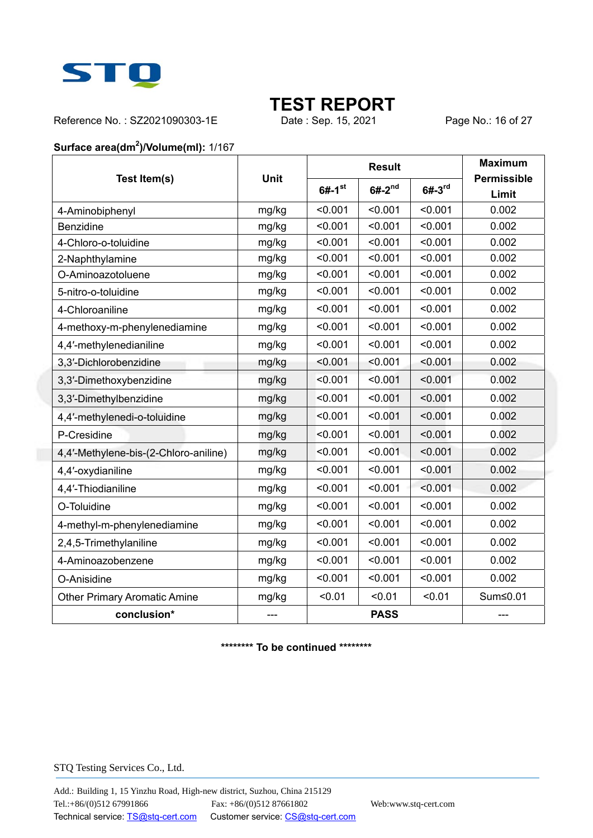

Reference No.: SZ2021090303-1E Date : Sep. 15, 2021 Page No.: 16 of 27

#### **Surface area(dm<sup>2</sup> )/Volume(ml):** 1/167

|                                       |       |                      | <b>Result</b> |            | <b>Maximum</b>              |
|---------------------------------------|-------|----------------------|---------------|------------|-----------------------------|
| Test Item(s)                          | Unit  | $6#-1$ <sup>st</sup> | $6#-2^{nd}$   | $6# - 3rd$ | <b>Permissible</b><br>Limit |
| 4-Aminobiphenyl                       | mg/kg | < 0.001              | < 0.001       | < 0.001    | 0.002                       |
| Benzidine                             | mg/kg | < 0.001              | < 0.001       | < 0.001    | 0.002                       |
| 4-Chloro-o-toluidine                  | mg/kg | < 0.001              | < 0.001       | < 0.001    | 0.002                       |
| 2-Naphthylamine                       | mg/kg | < 0.001              | < 0.001       | < 0.001    | 0.002                       |
| O-Aminoazotoluene                     | mg/kg | < 0.001              | < 0.001       | < 0.001    | 0.002                       |
| 5-nitro-o-toluidine                   | mg/kg | < 0.001              | < 0.001       | < 0.001    | 0.002                       |
| 4-Chloroaniline                       | mg/kg | < 0.001              | < 0.001       | < 0.001    | 0.002                       |
| 4-methoxy-m-phenylenediamine          | mg/kg | < 0.001              | < 0.001       | < 0.001    | 0.002                       |
| 4,4'-methylenedianiline               | mg/kg | < 0.001              | < 0.001       | < 0.001    | 0.002                       |
| 3,3'-Dichlorobenzidine                | mg/kg | < 0.001              | < 0.001       | < 0.001    | 0.002                       |
| 3,3'-Dimethoxybenzidine               | mg/kg | < 0.001              | < 0.001       | < 0.001    | 0.002                       |
| 3,3'-Dimethylbenzidine                | mg/kg | < 0.001              | < 0.001       | < 0.001    | 0.002                       |
| 4,4'-methylenedi-o-toluidine          | mg/kg | < 0.001              | < 0.001       | < 0.001    | 0.002                       |
| P-Cresidine                           | mg/kg | < 0.001              | < 0.001       | < 0.001    | 0.002                       |
| 4,4'-Methylene-bis-(2-Chloro-aniline) | mg/kg | < 0.001              | < 0.001       | < 0.001    | 0.002                       |
| 4,4'-oxydianiline                     | mg/kg | < 0.001              | < 0.001       | < 0.001    | 0.002                       |
| 4,4'-Thiodianiline                    | mg/kg | < 0.001              | < 0.001       | < 0.001    | 0.002                       |
| O-Toluidine                           | mg/kg | < 0.001              | < 0.001       | < 0.001    | 0.002                       |
| 4-methyl-m-phenylenediamine           | mg/kg | < 0.001              | < 0.001       | < 0.001    | 0.002                       |
| 2,4,5-Trimethylaniline                | mg/kg | < 0.001              | < 0.001       | < 0.001    | 0.002                       |
| 4-Aminoazobenzene                     | mg/kg | < 0.001              | < 0.001       | < 0.001    | 0.002                       |
| O-Anisidine                           | mg/kg | < 0.001              | < 0.001       | < 0.001    | 0.002                       |
| <b>Other Primary Aromatic Amine</b>   | mg/kg | < 0.01               | < 0.01        | < 0.01     | Sum≤0.01                    |
| conclusion*                           |       |                      | <b>PASS</b>   |            | $---$                       |

**\*\*\*\*\*\*\*\* To be continued \*\*\*\*\*\*\*\***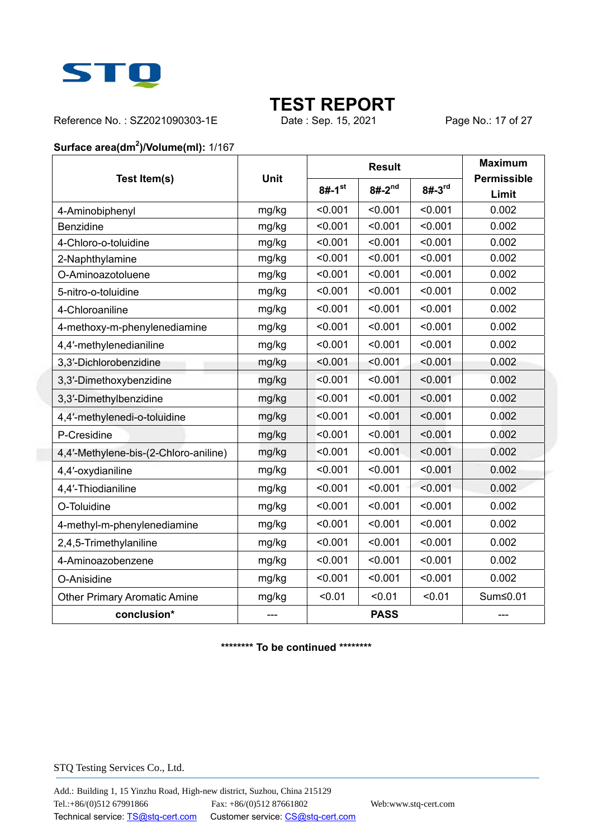

Reference No.: SZ2021090303-1E Date : Sep. 15, 2021 Page No.: 17 of 27

#### **Surface area(dm<sup>2</sup> )/Volume(ml):** 1/167

|                                       |       |                      | <b>Result</b> | <b>Maximum</b> |                             |
|---------------------------------------|-------|----------------------|---------------|----------------|-----------------------------|
| Test Item(s)                          | Unit  | $8#-1$ <sup>st</sup> | $8#-2^{nd}$   | $8# - 3rd$     | <b>Permissible</b><br>Limit |
| 4-Aminobiphenyl                       | mg/kg | < 0.001              | < 0.001       | < 0.001        | 0.002                       |
| Benzidine                             | mg/kg | < 0.001              | < 0.001       | < 0.001        | 0.002                       |
| 4-Chloro-o-toluidine                  | mg/kg | < 0.001              | < 0.001       | < 0.001        | 0.002                       |
| 2-Naphthylamine                       | mg/kg | < 0.001              | < 0.001       | < 0.001        | 0.002                       |
| O-Aminoazotoluene                     | mg/kg | < 0.001              | < 0.001       | < 0.001        | 0.002                       |
| 5-nitro-o-toluidine                   | mg/kg | < 0.001              | < 0.001       | < 0.001        | 0.002                       |
| 4-Chloroaniline                       | mg/kg | < 0.001              | < 0.001       | < 0.001        | 0.002                       |
| 4-methoxy-m-phenylenediamine          | mg/kg | < 0.001              | < 0.001       | < 0.001        | 0.002                       |
| 4,4'-methylenedianiline               | mg/kg | < 0.001              | < 0.001       | < 0.001        | 0.002                       |
| 3,3'-Dichlorobenzidine                | mg/kg | < 0.001              | < 0.001       | < 0.001        | 0.002                       |
| 3,3'-Dimethoxybenzidine               | mg/kg | < 0.001              | < 0.001       | < 0.001        | 0.002                       |
| 3,3'-Dimethylbenzidine                | mg/kg | < 0.001              | < 0.001       | < 0.001        | 0.002                       |
| 4,4'-methylenedi-o-toluidine          | mg/kg | < 0.001              | < 0.001       | < 0.001        | 0.002                       |
| P-Cresidine                           | mg/kg | < 0.001              | < 0.001       | < 0.001        | 0.002                       |
| 4,4'-Methylene-bis-(2-Chloro-aniline) | mg/kg | < 0.001              | < 0.001       | < 0.001        | 0.002                       |
| 4,4'-oxydianiline                     | mg/kg | < 0.001              | < 0.001       | < 0.001        | 0.002                       |
| 4,4'-Thiodianiline                    | mg/kg | < 0.001              | < 0.001       | < 0.001        | 0.002                       |
| O-Toluidine                           | mg/kg | < 0.001              | < 0.001       | < 0.001        | 0.002                       |
| 4-methyl-m-phenylenediamine           | mg/kg | < 0.001              | < 0.001       | < 0.001        | 0.002                       |
| 2,4,5-Trimethylaniline                | mg/kg | < 0.001              | < 0.001       | < 0.001        | 0.002                       |
| 4-Aminoazobenzene                     | mg/kg | < 0.001              | < 0.001       | < 0.001        | 0.002                       |
| O-Anisidine                           | mg/kg | < 0.001              | < 0.001       | < 0.001        | 0.002                       |
| <b>Other Primary Aromatic Amine</b>   | mg/kg | < 0.01               | < 0.01        | < 0.01         | Sum≤0.01                    |
| conclusion*                           |       | <b>PASS</b>          |               |                | $---$                       |

**\*\*\*\*\*\*\*\* To be continued \*\*\*\*\*\*\*\***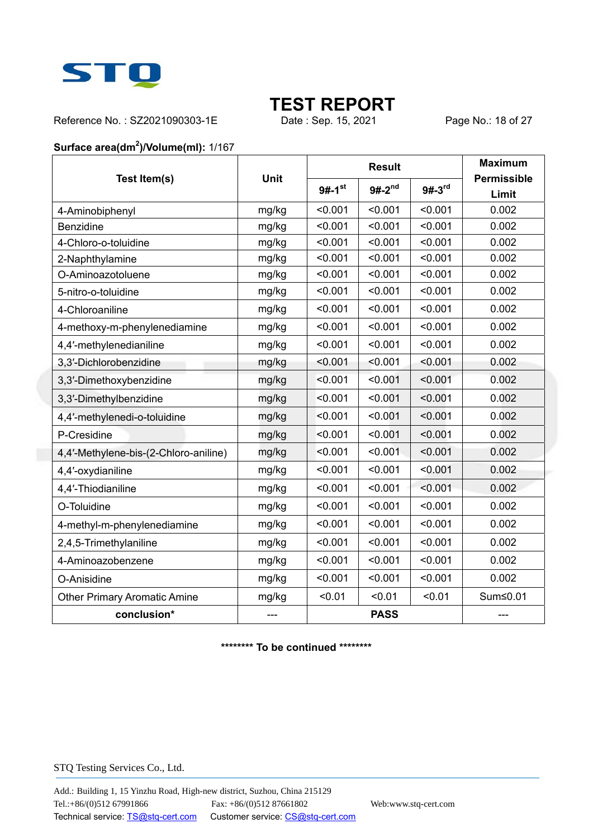

Reference No.: SZ2021090303-1E Date : Sep. 15, 2021 Page No.: 18 of 27

#### **Surface area(dm<sup>2</sup> )/Volume(ml):** 1/167

|                                       |       |                      | <b>Result</b> | <b>Maximum</b> |                             |
|---------------------------------------|-------|----------------------|---------------|----------------|-----------------------------|
| Test Item(s)                          | Unit  | $9#-1$ <sup>st</sup> | $9#-2^{nd}$   | $9#-3rd$       | <b>Permissible</b><br>Limit |
| 4-Aminobiphenyl                       | mg/kg | < 0.001              | < 0.001       | < 0.001        | 0.002                       |
| Benzidine                             | mg/kg | < 0.001              | < 0.001       | < 0.001        | 0.002                       |
| 4-Chloro-o-toluidine                  | mg/kg | < 0.001              | < 0.001       | < 0.001        | 0.002                       |
| 2-Naphthylamine                       | mg/kg | < 0.001              | < 0.001       | < 0.001        | 0.002                       |
| O-Aminoazotoluene                     | mg/kg | < 0.001              | < 0.001       | < 0.001        | 0.002                       |
| 5-nitro-o-toluidine                   | mg/kg | < 0.001              | < 0.001       | < 0.001        | 0.002                       |
| 4-Chloroaniline                       | mg/kg | < 0.001              | < 0.001       | < 0.001        | 0.002                       |
| 4-methoxy-m-phenylenediamine          | mg/kg | < 0.001              | < 0.001       | < 0.001        | 0.002                       |
| 4,4'-methylenedianiline               | mg/kg | < 0.001              | < 0.001       | < 0.001        | 0.002                       |
| 3,3'-Dichlorobenzidine                | mg/kg | < 0.001              | < 0.001       | < 0.001        | 0.002                       |
| 3,3'-Dimethoxybenzidine               | mg/kg | < 0.001              | < 0.001       | < 0.001        | 0.002                       |
| 3,3'-Dimethylbenzidine                | mg/kg | < 0.001              | < 0.001       | < 0.001        | 0.002                       |
| 4,4'-methylenedi-o-toluidine          | mg/kg | < 0.001              | < 0.001       | < 0.001        | 0.002                       |
| P-Cresidine                           | mg/kg | < 0.001              | < 0.001       | < 0.001        | 0.002                       |
| 4,4'-Methylene-bis-(2-Chloro-aniline) | mg/kg | < 0.001              | < 0.001       | < 0.001        | 0.002                       |
| 4,4'-oxydianiline                     | mg/kg | < 0.001              | < 0.001       | < 0.001        | 0.002                       |
| 4,4'-Thiodianiline                    | mg/kg | < 0.001              | < 0.001       | < 0.001        | 0.002                       |
| O-Toluidine                           | mg/kg | < 0.001              | < 0.001       | < 0.001        | 0.002                       |
| 4-methyl-m-phenylenediamine           | mg/kg | < 0.001              | < 0.001       | < 0.001        | 0.002                       |
| 2,4,5-Trimethylaniline                | mg/kg | < 0.001              | < 0.001       | < 0.001        | 0.002                       |
| 4-Aminoazobenzene                     | mg/kg | < 0.001              | < 0.001       | < 0.001        | 0.002                       |
| O-Anisidine                           | mg/kg | < 0.001              | < 0.001       | < 0.001        | 0.002                       |
| <b>Other Primary Aromatic Amine</b>   | mg/kg | < 0.01               | < 0.01        | < 0.01         | Sum≤0.01                    |
| conclusion*                           |       | <b>PASS</b>          |               |                | $---$                       |

**\*\*\*\*\*\*\*\* To be continued \*\*\*\*\*\*\*\***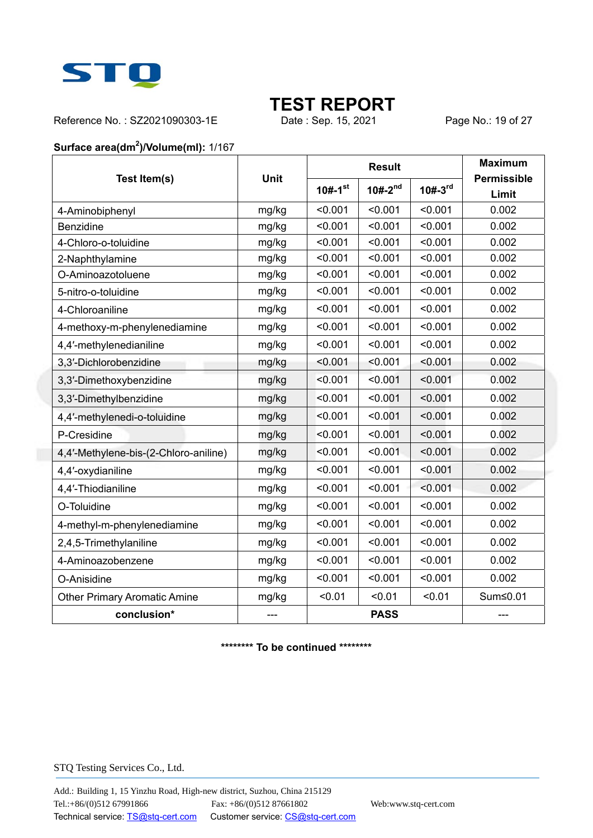

Reference No.: SZ2021090303-1E Date : Sep. 15, 2021 Page No.: 19 of 27

#### **Surface area(dm<sup>2</sup> )/Volume(ml):** 1/167

|                                       |       |                       | <b>Result</b>  | <b>Maximum</b> |                             |
|---------------------------------------|-------|-----------------------|----------------|----------------|-----------------------------|
| Test Item(s)                          | Unit  | $10#-1$ <sup>st</sup> | $10# - 2^{nd}$ | $10# - 3^{rd}$ | <b>Permissible</b><br>Limit |
| 4-Aminobiphenyl                       | mg/kg | < 0.001               | < 0.001        | < 0.001        | 0.002                       |
| Benzidine                             | mg/kg | < 0.001               | < 0.001        | < 0.001        | 0.002                       |
| 4-Chloro-o-toluidine                  | mg/kg | < 0.001               | < 0.001        | < 0.001        | 0.002                       |
| 2-Naphthylamine                       | mg/kg | < 0.001               | < 0.001        | < 0.001        | 0.002                       |
| O-Aminoazotoluene                     | mg/kg | < 0.001               | < 0.001        | < 0.001        | 0.002                       |
| 5-nitro-o-toluidine                   | mg/kg | < 0.001               | < 0.001        | < 0.001        | 0.002                       |
| 4-Chloroaniline                       | mg/kg | < 0.001               | < 0.001        | < 0.001        | 0.002                       |
| 4-methoxy-m-phenylenediamine          | mg/kg | < 0.001               | < 0.001        | < 0.001        | 0.002                       |
| 4,4'-methylenedianiline               | mg/kg | < 0.001               | < 0.001        | < 0.001        | 0.002                       |
| 3,3'-Dichlorobenzidine                | mg/kg | < 0.001               | < 0.001        | < 0.001        | 0.002                       |
| 3,3'-Dimethoxybenzidine               | mg/kg | < 0.001               | < 0.001        | < 0.001        | 0.002                       |
| 3,3'-Dimethylbenzidine                | mg/kg | < 0.001               | < 0.001        | < 0.001        | 0.002                       |
| 4,4'-methylenedi-o-toluidine          | mg/kg | < 0.001               | < 0.001        | < 0.001        | 0.002                       |
| P-Cresidine                           | mg/kg | < 0.001               | < 0.001        | < 0.001        | 0.002                       |
| 4,4'-Methylene-bis-(2-Chloro-aniline) | mg/kg | < 0.001               | < 0.001        | < 0.001        | 0.002                       |
| 4,4'-oxydianiline                     | mg/kg | < 0.001               | < 0.001        | < 0.001        | 0.002                       |
| 4,4'-Thiodianiline                    | mg/kg | < 0.001               | < 0.001        | < 0.001        | 0.002                       |
| O-Toluidine                           | mg/kg | < 0.001               | < 0.001        | < 0.001        | 0.002                       |
| 4-methyl-m-phenylenediamine           | mg/kg | < 0.001               | < 0.001        | < 0.001        | 0.002                       |
| 2,4,5-Trimethylaniline                | mg/kg | < 0.001               | < 0.001        | < 0.001        | 0.002                       |
| 4-Aminoazobenzene                     | mg/kg | < 0.001               | < 0.001        | < 0.001        | 0.002                       |
| O-Anisidine                           | mg/kg | < 0.001               | < 0.001        | < 0.001        | 0.002                       |
| <b>Other Primary Aromatic Amine</b>   | mg/kg | < 0.01                | < 0.01         | < 0.01         | Sum≤0.01                    |
| conclusion*                           | ---   | <b>PASS</b>           |                |                | $---$                       |

**\*\*\*\*\*\*\*\* To be continued \*\*\*\*\*\*\*\***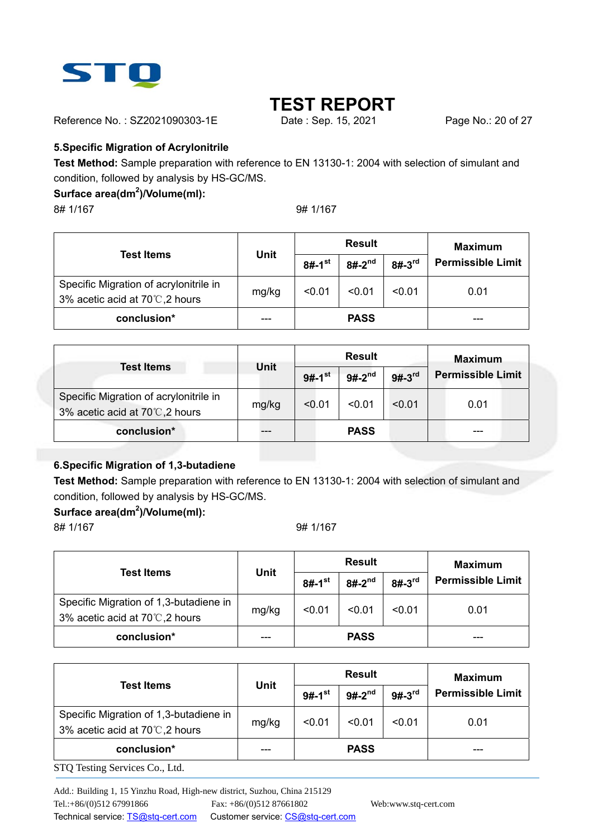

Reference No.: SZ2021090303-1E Date : Sep. 15, 2021 Page No.: 20 of 27

#### **5.Specific Migration of Acrylonitrile**

**Test Method:** Sample preparation with reference to EN 13130-1: 2004 with selection of simulant and condition, followed by analysis by HS-GC/MS.

#### **Surface area(dm<sup>2</sup> )/Volume(ml):**

8# 1/167 9# 1/167

| Test Items                             |       |                      | <b>Result</b> | <b>Maximum</b> |                          |  |
|----------------------------------------|-------|----------------------|---------------|----------------|--------------------------|--|
|                                        | Unit  | $8#-1$ <sup>st</sup> | $8#-2^{nd}$   | $8#-3rd$       | <b>Permissible Limit</b> |  |
| Specific Migration of acrylonitrile in | mg/kg | < 0.01               | < 0.01        | < 0.01         | 0.01                     |  |
| 3% acetic acid at 70℃,2 hours          |       |                      |               |                |                          |  |
| conclusion*                            |       |                      | <b>PASS</b>   |                |                          |  |

|                                                                         |             |                      | <b>Result</b> | <b>Maximum</b> |                          |
|-------------------------------------------------------------------------|-------------|----------------------|---------------|----------------|--------------------------|
| <b>Test Items</b>                                                       | <b>Unit</b> | $9#-1$ <sup>st</sup> | $9#-2^{nd}$   | $9#-3rd$       | <b>Permissible Limit</b> |
| Specific Migration of acrylonitrile in<br>3% acetic acid at 70℃,2 hours | mg/kg       | < 0.01               | < 0.01        | < 0.01         | 0.01                     |
| conclusion*                                                             |             |                      | <b>PASS</b>   |                |                          |

#### **6.Specific Migration of 1,3-butadiene**

**Test Method:** Sample preparation with reference to EN 13130-1: 2004 with selection of simulant and condition, followed by analysis by HS-GC/MS.

#### **Surface area(dm<sup>2</sup> )/Volume(ml):**

8# 1/167 9# 1/167

|                                                                         |       |                      | <b>Result</b> | <b>Maximum</b> |                          |
|-------------------------------------------------------------------------|-------|----------------------|---------------|----------------|--------------------------|
| <b>Test Items</b>                                                       | Unit  | $8#-1$ <sup>st</sup> | $8#-2^{nd}$   | $8#-3rd$       | <b>Permissible Limit</b> |
| Specific Migration of 1,3-butadiene in<br>3% acetic acid at 70℃,2 hours | mg/kg | < 0.01               | < 0.01        | < 0.01         | 0.01                     |
| conclusion*                                                             |       |                      | <b>PASS</b>   |                |                          |

|                                                                         | <b>Unit</b> |                      | <b>Result</b> | <b>Maximum</b> |                          |
|-------------------------------------------------------------------------|-------------|----------------------|---------------|----------------|--------------------------|
| <b>Test Items</b>                                                       |             | $9#-1$ <sup>st</sup> | $9#-2^{nd}$   | $9#-3rd$       | <b>Permissible Limit</b> |
| Specific Migration of 1,3-butadiene in<br>3% acetic acid at 70℃,2 hours | mg/kg       | < 0.01               | < 0.01        | < 0.01         | 0.01                     |
| conclusion*                                                             |             |                      | <b>PASS</b>   |                |                          |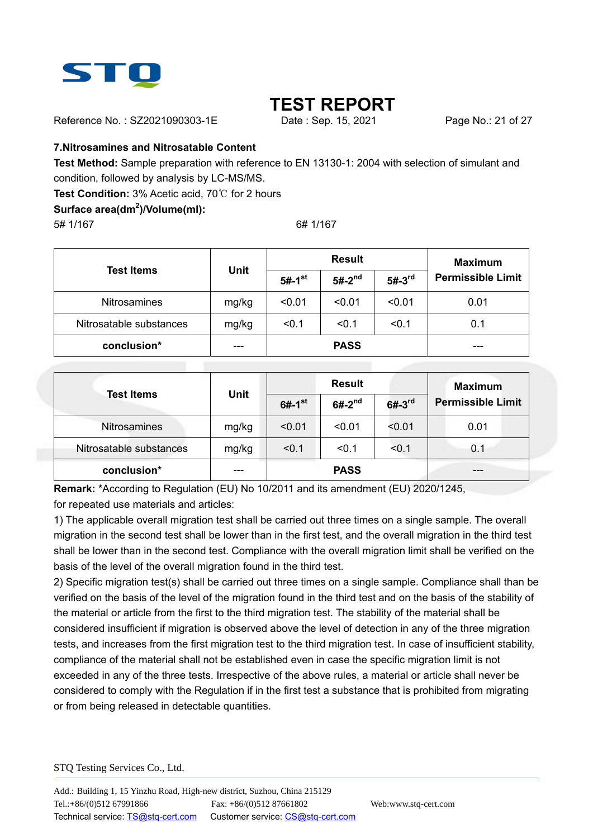

Reference No.: SZ2021090303-1E Date: Sep. 15, 2021 Page No.: 21 of 27

#### **7.Nitrosamines and Nitrosatable Content**

**Test Method:** Sample preparation with reference to EN 13130-1: 2004 with selection of simulant and condition, followed by analysis by LC-MS/MS.

**Test Condition:** 3% Acetic acid, 70℃ for 2 hours

### **Surface area(dm<sup>2</sup> )/Volume(ml):**

5# 1/167 6# 1/167

|                         |             |                      | <b>Result</b> | <b>Maximum</b> |                          |
|-------------------------|-------------|----------------------|---------------|----------------|--------------------------|
| <b>Test Items</b>       | <b>Unit</b> | $5#-1$ <sup>st</sup> | $5#-2^{nd}$   | $5#-3rd$       | <b>Permissible Limit</b> |
| <b>Nitrosamines</b>     | mg/kg       | < 0.01               | < 0.01        | < 0.01         | 0.01                     |
| Nitrosatable substances | mg/kg       | < 0.1                | < 0.1         | < 0.1          | 0.1                      |
| conclusion*             | ---         |                      | <b>PASS</b>   |                |                          |

|                         |             | <b>Result</b>        |                         |        | <b>Maximum</b>           |  |
|-------------------------|-------------|----------------------|-------------------------|--------|--------------------------|--|
| <b>Test Items</b>       | <b>Unit</b> | $6#-1$ <sup>st</sup> | $6#-2^{nd}$<br>$6#-3rd$ |        | <b>Permissible Limit</b> |  |
| Nitrosamines            | mg/kg       | < 0.01               | < 0.01                  | < 0.01 | 0.01                     |  |
| Nitrosatable substances | mg/kg       | < 0.1                | < 0.1                   | < 0.1  | 0.1                      |  |
| conclusion*             |             |                      | <b>PASS</b>             |        |                          |  |

**Remark:** \*According to Regulation (EU) No 10/2011 and its amendment (EU) 2020/1245, for repeated use materials and articles:

1) The applicable overall migration test shall be carried out three times on a single sample. The overall migration in the second test shall be lower than in the first test, and the overall migration in the third test shall be lower than in the second test. Compliance with the overall migration limit shall be verified on the basis of the level of the overall migration found in the third test.

2) Specific migration test(s) shall be carried out three times on a single sample. Compliance shall than be verified on the basis of the level of the migration found in the third test and on the basis of the stability of the material or article from the first to the third migration test. The stability of the material shall be considered insufficient if migration is observed above the level of detection in any of the three migration tests, and increases from the first migration test to the third migration test. In case of insufficient stability, compliance of the material shall not be established even in case the specific migration limit is not exceeded in any of the three tests. Irrespective of the above rules, a material or article shall never be considered to comply with the Regulation if in the first test a substance that is prohibited from migrating or from being released in detectable quantities.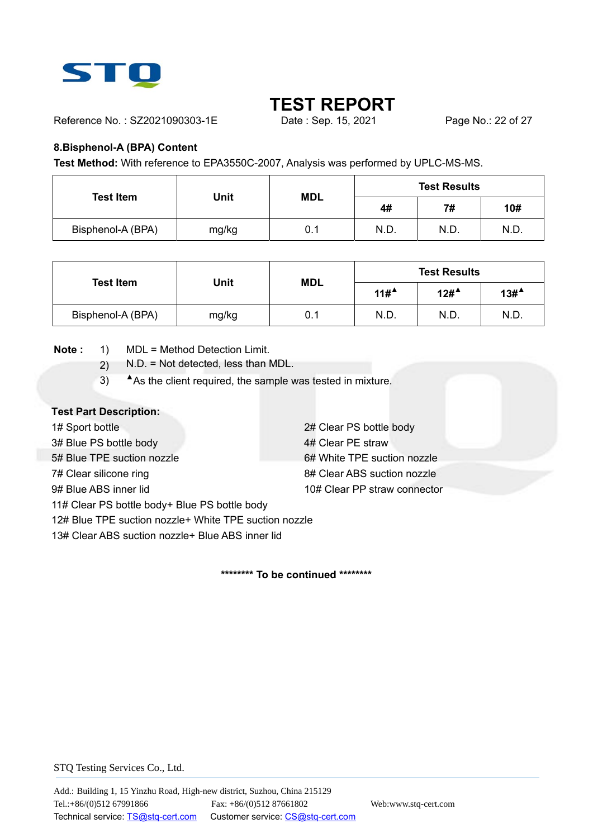

Reference No.: SZ2021090303-1E Date : Sep. 15, 2021 Page No.: 22 of 27

#### **8.Bisphenol-A (BPA) Content**

**Test Method:** With reference to EPA3550C-2007, Analysis was performed by UPLC-MS-MS.

| <b>Test Item</b>  | Unit  | <b>MDL</b> |      | <b>Test Results</b> |      |
|-------------------|-------|------------|------|---------------------|------|
|                   |       |            | 4#   | 7#                  | 10#  |
| Bisphenol-A (BPA) | mg/kg | 0.1        | N.D. | N.D.                | N.D. |

|                   |       | <b>MDL</b> |                                         | <b>Test Results</b> |                  |  |
|-------------------|-------|------------|-----------------------------------------|---------------------|------------------|--|
| <b>Test Item</b>  | Jnit  |            | $11#$ <sup><math>\triangle</math></sup> | 12# <sup>4</sup>    | 13# <sup>4</sup> |  |
| Bisphenol-A (BPA) | mg/kg | 0.1        | N.D.                                    | N.D.                | N.D.             |  |

**Note :** 1) MDL = Method Detection Limit.

- 2) N.D. = Not detected, less than MDL.
- 3) **▲**As the client required, the sample was tested in mixture.

#### **Test Part Description:**

1# Sport bottle 2# Clear PS bottle body 3# Blue PS bottle body 4# Clear PE straw 5# Blue TPE suction nozzle 6# White TPE suction nozzle 7# Clear silicone ring and the state of the 8# Clear ABS suction nozzle 9# Blue ABS inner lid 10# Clear PP straw connector 11# Clear PS bottle body+ Blue PS bottle body 12# Blue TPE suction nozzle+ White TPE suction nozzle

13# Clear ABS suction nozzle+ Blue ABS inner lid

**\*\*\*\*\*\*\*\* To be continued \*\*\*\*\*\*\*\***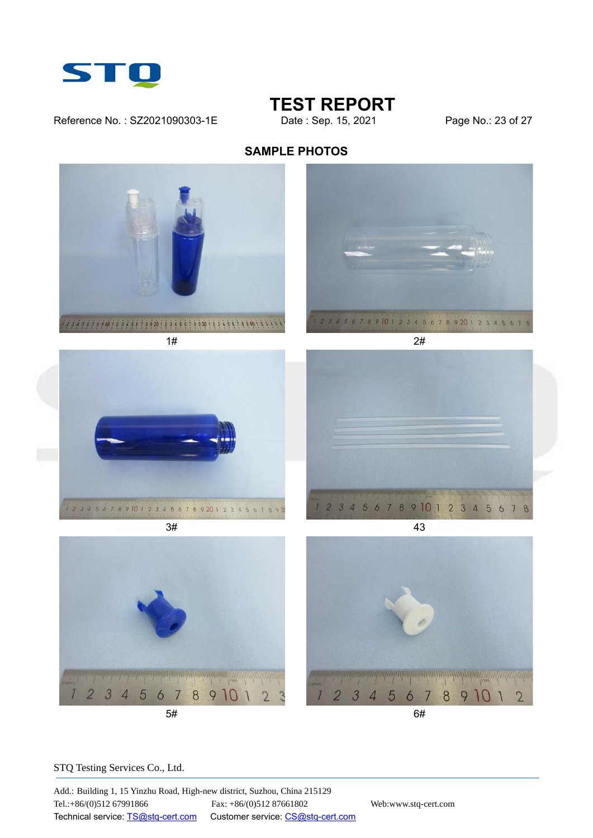

## **TEST REPORT**<br>Date : Sep. 15, 2021

Reference No.: SZ2021090303-1E Date : Sep. 15, 2021 Page No.: 23 of 27

### **SAMPLE PHOTOS**



STQ Testing Services Co., Ltd.

Add.: Building 1, 15 Yinzhu Road, High-new district, Suzhou, China 215129 Tel.:+86/(0)512 67991866 Fax: +86/(0)512 87661802 Web:www.stq-cert.com Technical service: TS@stq-cert.com Customer service: CS@stq-cert.com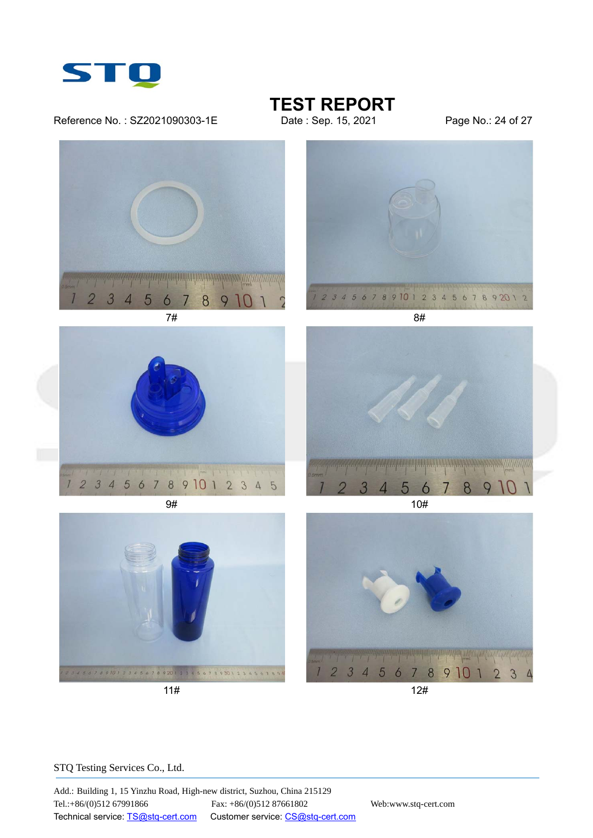

Reference No.: SZ2021090303-1E Date : Sep. 15, 2021 Page No.: 24 of 27

# **TEST REPORT**<br>Date : Sep. 15, 2021

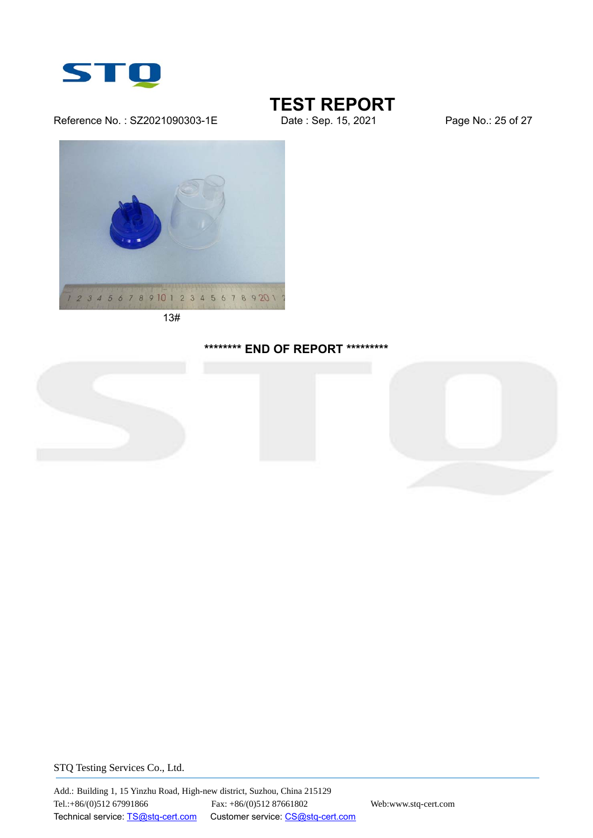

#### Reference No.: SZ2021090303-1E Date : Sep. 15, 2021 Page No.: 25 of 27

### **TEST REPORT**



13#

#### **\*\*\*\*\*\*\*\* END OF REPORT \*\*\*\*\*\*\*\*\***



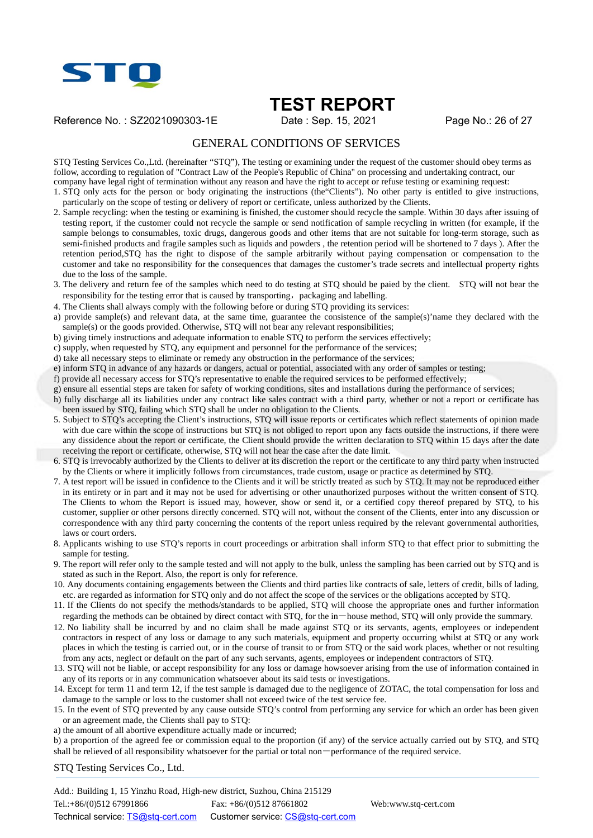

Reference No.: SZ2021090303-1E Date: Sep. 15, 2021 Page No.: 26 of 27

#### GENERAL CONDITIONS OF SERVICES

STQ Testing Services Co.,Ltd. (hereinafter "STQ"), The testing or examining under the request of the customer should obey terms as follow, according to regulation of "Contract Law of the People's Republic of China" on processing and undertaking contract, our company have legal right of termination without any reason and have the right to accept or refuse testing or examining request:

1. STQ only acts for the person or body originating the instructions (the"Clients"). No other party is entitled to give instructions, particularly on the scope of testing or delivery of report or certificate, unless authorized by the Clients.

- 2. Sample recycling: when the testing or examining is finished, the customer should recycle the sample. Within 30 days after issuing of testing report, if the customer could not recycle the sample or send notification of sample recycling in written (for example, if the sample belongs to consumables, toxic drugs, dangerous goods and other items that are not suitable for long-term storage, such as semi-finished products and fragile samples such as liquids and powders , the retention period will be shortened to 7 days ). After the retention period,STQ has the right to dispose of the sample arbitrarily without paying compensation or compensation to the customer and take no responsibility for the consequences that damages the customer's trade secrets and intellectual property rights due to the loss of the sample.
- 3. The delivery and return fee of the samples which need to do testing at STQ should be paied by the client. STQ will not bear the responsibility for the testing error that is caused by transporting, packaging and labelling.
- 4. The Clients shall always comply with the following before or during STQ providing its services:
- a) provide sample(s) and relevant data, at the same time, guarantee the consistence of the sample(s)'name they declared with the  $sample(s)$  or the goods provided. Otherwise, STQ will not bear any relevant responsibilities;
- b) giving timely instructions and adequate information to enable STQ to perform the services effectively;
- c) supply, when requested by STQ, any equipment and personnel for the performance of the services;
- d) take all necessary steps to eliminate or remedy any obstruction in the performance of the services;
- e) inform STQ in advance of any hazards or dangers, actual or potential, associated with any order of samples or testing;
- f) provide all necessary access for STQ's representative to enable the required services to be performed effectively;
- g) ensure all essential steps are taken for safety of working conditions, sites and installations during the performance of services;
- h) fully discharge all its liabilities under any contract like sales contract with a third party, whether or not a report or certificate has been issued by STQ, failing which STQ shall be under no obligation to the Clients.
- 5. Subject to STQ's accepting the Client's instructions, STQ will issue reports or certificates which reflect statements of opinion made with due care within the scope of instructions but STQ is not obliged to report upon any facts outside the instructions, if there were any dissidence about the report or certificate, the Client should provide the written declaration to STQ within 15 days after the date receiving the report or certificate, otherwise, STQ will not hear the case after the date limit.
- 6. STQ is irrevocably authorized by the Clients to deliver at its discretion the report or the certificate to any third party when instructed by the Clients or where it implicitly follows from circumstances, trade custom, usage or practice as determined by STQ.
- 7. A test report will be issued in confidence to the Clients and it will be strictly treated as such by STQ. It may not be reproduced either in its entirety or in part and it may not be used for advertising or other unauthorized purposes without the written consent of STQ. The Clients to whom the Report is issued may, however, show or send it, or a certified copy thereof prepared by STQ, to his customer, supplier or other persons directly concerned. STQ will not, without the consent of the Clients, enter into any discussion or correspondence with any third party concerning the contents of the report unless required by the relevant governmental authorities, laws or court orders.
- 8. Applicants wishing to use STQ's reports in court proceedings or arbitration shall inform STQ to that effect prior to submitting the sample for testing.
- 9. The report will refer only to the sample tested and will not apply to the bulk, unless the sampling has been carried out by STQ and is stated as such in the Report. Also, the report is only for reference.
- 10. Any documents containing engagements between the Clients and third parties like contracts of sale, letters of credit, bills of lading, etc. are regarded as information for STQ only and do not affect the scope of the services or the obligations accepted by STQ.
- 11. If the Clients do not specify the methods/standards to be applied, STQ will choose the appropriate ones and further information regarding the methods can be obtained by direct contact with STO, for the in-house method, STO will only provide the summary.
- 12. No liability shall be incurred by and no claim shall be made against STQ or its servants, agents, employees or independent contractors in respect of any loss or damage to any such materials, equipment and property occurring whilst at STQ or any work places in which the testing is carried out, or in the course of transit to or from STQ or the said work places, whether or not resulting from any acts, neglect or default on the part of any such servants, agents, employees or independent contractors of STQ.
- 13. STQ will not be liable, or accept responsibility for any loss or damage howsoever arising from the use of information contained in any of its reports or in any communication whatsoever about its said tests or investigations.
- 14. Except for term 11 and term 12, if the test sample is damaged due to the negligence of ZOTAC, the total compensation for loss and damage to the sample or loss to the customer shall not exceed twice of the test service fee.
- 15. In the event of STQ prevented by any cause outside STQ's control from performing any service for which an order has been given or an agreement made, the Clients shall pay to STQ:
- a) the amount of all abortive expenditure actually made or incurred;

b) a proportion of the agreed fee or commission equal to the proportion (if any) of the service actually carried out by STQ, and STQ shall be relieved of all responsibility whatsoever for the partial or total non-performance of the required service.

STQ Testing Services Co., Ltd.

Add.: Building 1, 15 Yinzhu Road, High-new district, Suzhou, China 215129 Tel.:+86/(0)512 67991866 Fax: +86/(0)512 87661802 Web:www.stq-cert.com Technical service: TS@stq-cert.com Customer service: CS@stq-cert.com